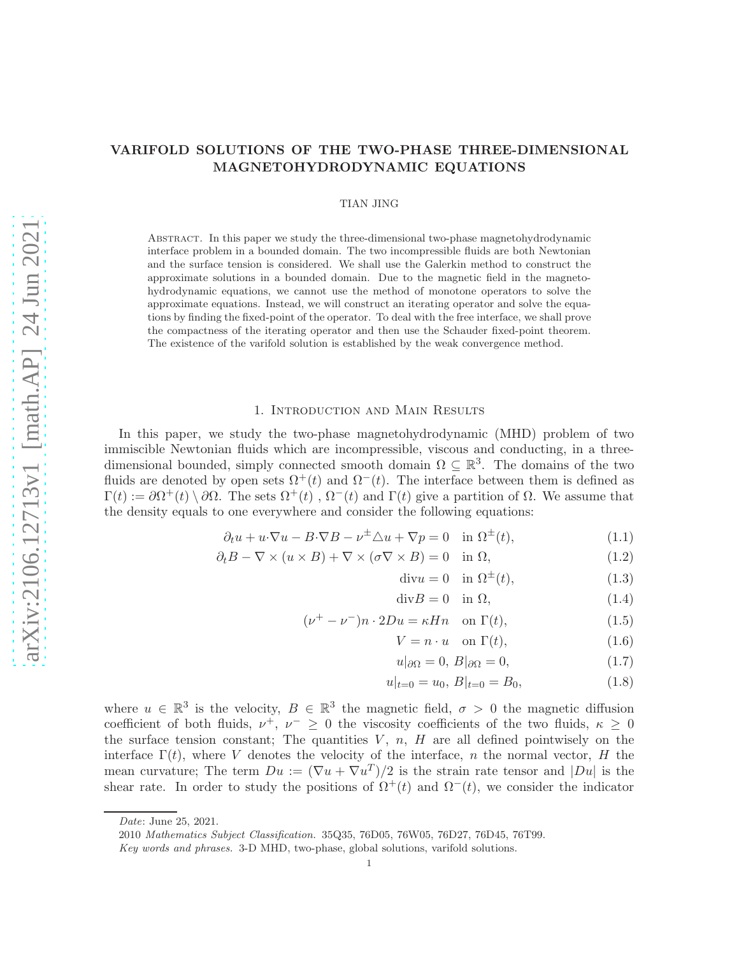# Abstract. In this paper we study the three-dimensional two-phase magnetohydrodynamic interface problem in a bounded domain. The two incompressible fluids are both Newtonian and the surface tension is considered. We shall use the Galerkin method to construct the approximate solutions in a bounded domain. Due to the magnetic field in the magnetohydrodynamic equations, we cannot use the method of monotone operators to solve the approximate equations. Instead, we will construct an iterating operator and solve the equations by finding the fixed-point of the operator. To deal with the free interface, we shall prove the compactness of the iterating operator and then use the Schauder fixed-point theorem. The existence of the varifold solution is established by the weak convergence method.

# 1. Introduction and Main Results

VARIFOLD SOLUTIONS OF THE TWO-PHASE THREE-DIMENSIONAL MAGNETOHYDRODYNAMIC EQUATIONS

TIAN JING

In this paper, we study the two-phase magnetohydrodynamic (MHD) problem of two immiscible Newtonian fluids which are incompressible, viscous and conducting, in a threedimensional bounded, simply connected smooth domain  $\Omega \subseteq \mathbb{R}^3$ . The domains of the two fluids are denoted by open sets  $\Omega^+(t)$  and  $\Omega^-(t)$ . The interface between them is defined as  $\Gamma(t) := \partial \Omega^+(t) \setminus \partial \Omega$ . The sets  $\Omega^+(t)$ ,  $\Omega^-(t)$  and  $\Gamma(t)$  give a partition of  $\Omega$ . We assume that the density equals to one everywhere and consider the following equations:

$$
\partial_t u + u \cdot \nabla u - B \cdot \nabla B - \nu^{\pm} \triangle u + \nabla p = 0 \quad \text{in } \Omega^{\pm}(t), \tag{1.1}
$$

$$
\partial_t B - \nabla \times (u \times B) + \nabla \times (\sigma \nabla \times B) = 0 \quad \text{in } \Omega,
$$
\n(1.2)

<span id="page-0-3"></span><span id="page-0-2"></span><span id="page-0-0"></span>
$$
\text{div}u = 0 \quad \text{in } \Omega^{\pm}(t), \tag{1.3}
$$

$$
\text{div}B = 0 \quad \text{in } \Omega,\tag{1.4}
$$

$$
(\nu^+ - \nu^-)n \cdot 2Du = \kappa Hn \quad \text{on } \Gamma(t), \tag{1.5}
$$

$$
V = n \cdot u \quad \text{on } \Gamma(t), \tag{1.6}
$$

<span id="page-0-1"></span>
$$
u|_{\partial\Omega} = 0, B|_{\partial\Omega} = 0,
$$
\n(1.7)

$$
u|_{t=0} = u_0, B|_{t=0} = B_0,\t\t(1.8)
$$

where  $u \in \mathbb{R}^3$  is the velocity,  $B \in \mathbb{R}^3$  the magnetic field,  $\sigma > 0$  the magnetic diffusion coefficient of both fluids,  $\nu^+$ ,  $\nu^- \geq 0$  the viscosity coefficients of the two fluids,  $\kappa \geq 0$ the surface tension constant; The quantities  $V, n, H$  are all defined pointwisely on the interface  $\Gamma(t)$ , where V denotes the velocity of the interface, n the normal vector, H the mean curvature; The term  $Du := (\nabla u + \nabla u^T)/2$  is the strain rate tensor and  $|Du|$  is the shear rate. In order to study the positions of  $\Omega^+(t)$  and  $\Omega^-(t)$ , we consider the indicator

Date: June 25, 2021.

<sup>2010</sup> Mathematics Subject Classification. 35Q35, 76D05, 76W05, 76D27, 76D45, 76T99.

Key words and phrases. 3-D MHD, two-phase, global solutions, varifold solutions.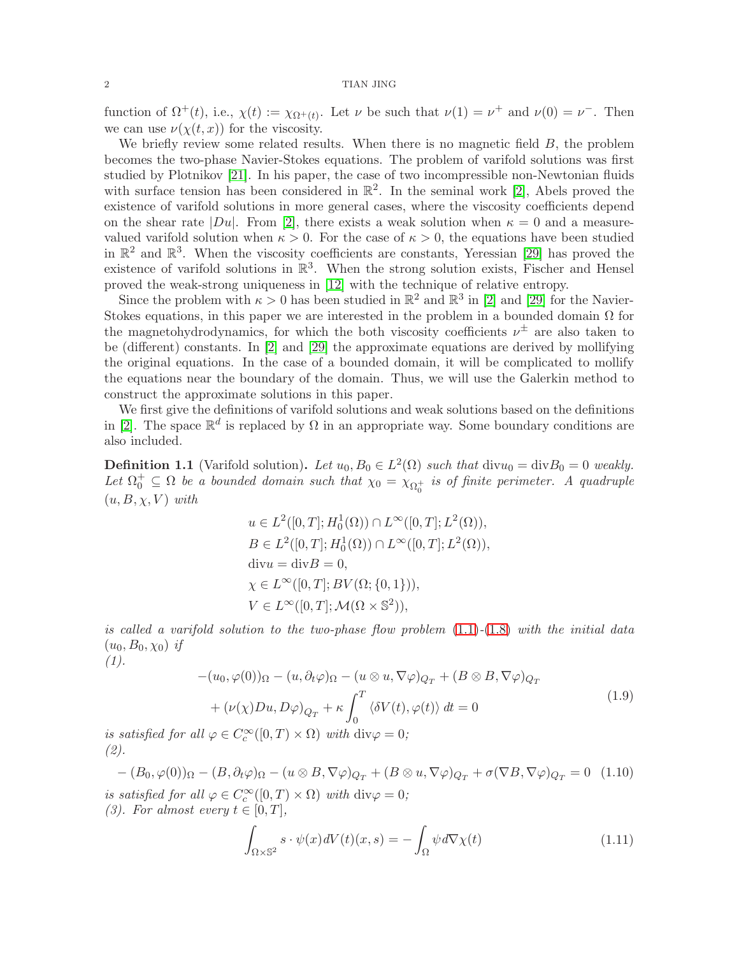#### $2\,$  TIAN JING  $\,$

function of  $\Omega^+(t)$ , i.e.,  $\chi(t) := \chi_{\Omega^+(t)}$ . Let  $\nu$  be such that  $\nu(1) = \nu^+$  and  $\nu(0) = \nu^-$ . Then we can use  $\nu(\chi(t,x))$  for the viscosity.

We briefly review some related results. When there is no magnetic field  $B$ , the problem becomes the two-phase Navier-Stokes equations. The problem of varifold solutions was first studied by Plotnikov [\[21\]](#page-24-0). In his paper, the case of two incompressible non-Newtonian fluids with surface tension has been considered in  $\mathbb{R}^2$ . In the seminal work [\[2\]](#page-24-1), Abels proved the existence of varifold solutions in more general cases, where the viscosity coefficients depend on the shear rate  $|Du|$ . From [\[2\]](#page-24-1), there exists a weak solution when  $\kappa = 0$  and a measurevalued varifold solution when  $\kappa > 0$ . For the case of  $\kappa > 0$ , the equations have been studied in  $\mathbb{R}^2$  and  $\mathbb{R}^3$ . When the viscosity coefficients are constants, Yeressian [\[29\]](#page-25-0) has proved the existence of varifold solutions in  $\mathbb{R}^3$ . When the strong solution exists, Fischer and Hensel proved the weak-strong uniqueness in [\[12\]](#page-24-2) with the technique of relative entropy.

Since the problem with  $\kappa > 0$  has been studied in  $\mathbb{R}^2$  and  $\mathbb{R}^3$  in [\[2\]](#page-24-1) and [\[29\]](#page-25-0) for the Navier-Stokes equations, in this paper we are interested in the problem in a bounded domain  $\Omega$  for the magnetohydrodynamics, for which the both viscosity coefficients  $\nu^{\pm}$  are also taken to be (different) constants. In [\[2\]](#page-24-1) and [\[29\]](#page-25-0) the approximate equations are derived by mollifying the original equations. In the case of a bounded domain, it will be complicated to mollify the equations near the boundary of the domain. Thus, we will use the Galerkin method to construct the approximate solutions in this paper.

We first give the definitions of varifold solutions and weak solutions based on the definitions in [\[2\]](#page-24-1). The space  $\mathbb{R}^d$  is replaced by  $\Omega$  in an appropriate way. Some boundary conditions are also included.

<span id="page-1-1"></span>**Definition 1.1** (Varifold solution). Let  $u_0, B_0 \in L^2(\Omega)$  such that  $\text{div}u_0 = \text{div}B_0 = 0$  weakly. Let  $\Omega_0^+ \subseteq \Omega$  be a bounded domain such that  $\chi_0 = \chi_{\Omega_0^+}$  is of finite perimeter. A quadruple  $(u, B, \chi, V)$  with

$$
u \in L^2([0, T]; H_0^1(\Omega)) \cap L^\infty([0, T]; L^2(\Omega)),
$$
  
\n
$$
B \in L^2([0, T]; H_0^1(\Omega)) \cap L^\infty([0, T]; L^2(\Omega)),
$$
  
\ndivu = divB = 0,  
\n
$$
\chi \in L^\infty([0, T]; BV(\Omega; \{0, 1\})),
$$
  
\n
$$
V \in L^\infty([0, T]; \mathcal{M}(\Omega \times \mathbb{S}^2)),
$$

is called a varifold solution to the two-phase flow problem  $(1.1)-(1.8)$  $(1.1)-(1.8)$  $(1.1)-(1.8)$  with the initial data  $(u_0, B_0, \chi_0)$  if

$$
(1)
$$
.

<span id="page-1-0"></span>
$$
-(u_0, \varphi(0))_{\Omega} - (u, \partial_t \varphi)_{\Omega} - (u \otimes u, \nabla \varphi)_{Q_T} + (B \otimes B, \nabla \varphi)_{Q_T}
$$
  
+ 
$$
(\nu(\chi)Du, D\varphi)_{Q_T} + \kappa \int_0^T \langle \delta V(t), \varphi(t) \rangle dt = 0
$$
\n
$$
U = \mathcal{E}(\hat{\Omega}) \cdot \left( \mathcal{E}(\hat{\Omega}, \hat{\Omega}) \right) \cdot \left( \mathcal{E}(\hat{\Omega}, \hat{\Omega}) \right) \cdot \left( \mathcal{E}(\hat{\Omega}, \hat{\Omega}) \right) \cdot \left( \mathcal{E}(\hat{\Omega}, \hat{\Omega}) \right) \cdot \left( \mathcal{E}(\hat{\Omega}, \hat{\Omega}) \right) \cdot \left( \mathcal{E}(\hat{\Omega}, \hat{\Omega}) \right) \cdot \left( \mathcal{E}(\hat{\Omega}, \hat{\Omega}) \right) \cdot \left( \mathcal{E}(\hat{\Omega}, \hat{\Omega}) \right) \cdot \left( \mathcal{E}(\hat{\Omega}, \hat{\Omega}) \right) \cdot \left( \mathcal{E}(\hat{\Omega}, \hat{\Omega}) \right) \cdot \left( \mathcal{E}(\hat{\Omega}, \hat{\Omega}) \right) \cdot \left( \mathcal{E}(\hat{\Omega}, \hat{\Omega}) \right) \cdot \left( \mathcal{E}(\hat{\Omega}, \hat{\Omega}) \right) \cdot \left( \mathcal{E}(\hat{\Omega}, \hat{\Omega}) \right) \cdot \left( \mathcal{E}(\hat{\Omega}, \hat{\Omega}) \right) \cdot \left( \mathcal{E}(\hat{\Omega}, \hat{\Omega}) \right) \cdot \left( \mathcal{E}(\hat{\Omega}, \hat{\Omega}) \right) \cdot \left( \mathcal{E}(\hat{\Omega}, \hat{\Omega}) \right) \cdot \left( \mathcal{E}(\hat{\Omega}, \hat{\Omega}) \right) \cdot \left( \mathcal{E}(\hat{\Omega}, \hat{\Omega}) \right) \cdot \left( \mathcal{E}(\hat{\Omega}, \hat{\Omega}) \right) \cdot \left( \mathcal{E}(\hat{\Omega}, \hat{\Omega}) \right) \cdot \left( \mathcal{E}(\hat{\Omega}, \hat{\Omega}) \right) \cdot \left( \mathcal{E}(\hat{\Omega}, \hat{\Omega}) \right) \cdot \left( \mathcal{E}(\hat{\Omega}, \hat{\Omega}) \right) \cdot \left( \mathcal{E}(\
$$

is satisfied for all  $\varphi \in C_c^{\infty}([0, T) \times \Omega)$  with  $\text{div}\varphi = 0$ ; (2).

$$
-(B_0, \varphi(0))_{\Omega} - (B, \partial_t \varphi)_{\Omega} - (u \otimes B, \nabla \varphi)_{Q_T} + (B \otimes u, \nabla \varphi)_{Q_T} + \sigma (\nabla B, \nabla \varphi)_{Q_T} = 0 \quad (1.10)
$$
  
is satisfied for all  $\varphi \in C_c^{\infty}([0, T) \times \Omega)$  with  $\text{div}\varphi = 0$ ;

(3). For almost every  $t \in [0, T]$ ,

$$
\int_{\Omega \times \mathbb{S}^2} s \cdot \psi(x) dV(t)(x, s) = -\int_{\Omega} \psi d\nabla \chi(t) \tag{1.11}
$$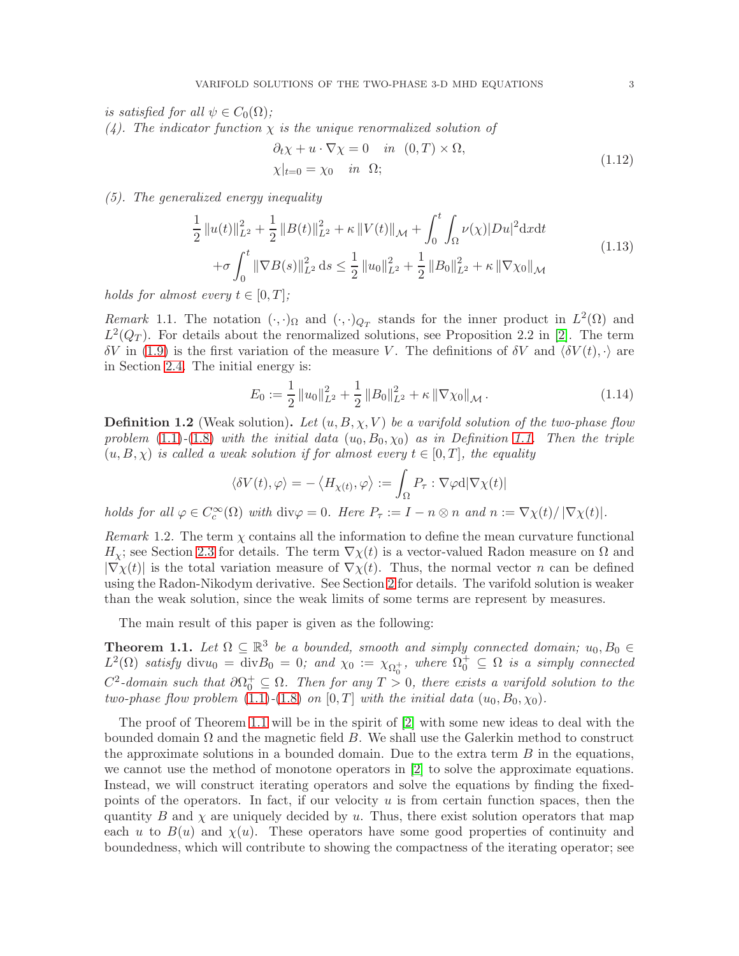is satisfied for all  $\psi \in C_0(\Omega)$ ;

(4). The indicator function  $\chi$  is the unique renormalized solution of

$$
\partial_t \chi + u \cdot \nabla \chi = 0 \quad in \quad (0, T) \times \Omega,
$$
  
\n
$$
\chi|_{t=0} = \chi_0 \quad in \quad \Omega;
$$
\n(1.12)

(5). The generalized energy inequality

$$
\frac{1}{2} ||u(t)||_{L^{2}}^{2} + \frac{1}{2} ||B(t)||_{L^{2}}^{2} + \kappa ||V(t)||_{\mathcal{M}} + \int_{0}^{t} \int_{\Omega} \nu(\chi) |Du|^{2} \mathrm{d}x \mathrm{d}t \n+ \sigma \int_{0}^{t} ||\nabla B(s)||_{L^{2}}^{2} \mathrm{d}s \le \frac{1}{2} ||u_{0}||_{L^{2}}^{2} + \frac{1}{2} ||B_{0}||_{L^{2}}^{2} + \kappa ||\nabla \chi_{0}||_{\mathcal{M}}
$$
\n(1.13)

holds for almost every  $t \in [0, T]$ ;

Remark 1.1. The notation  $(\cdot, \cdot)_{\Omega}$  and  $(\cdot, \cdot)_{Q_T}$  stands for the inner product in  $L^2(\Omega)$  and  $L^2(Q_T)$ . For details about the renormalized solutions, see Proposition 2.2 in [\[2\]](#page-24-1). The term  $δV$  in [\(1.9\)](#page-1-0) is the first variation of the measure V. The definitions of  $δV$  and  $\langle δV(t), \cdot \rangle$  are in Section [2.4.](#page-5-0) The initial energy is:

$$
E_0 := \frac{1}{2} ||u_0||_{L^2}^2 + \frac{1}{2} ||B_0||_{L^2}^2 + \kappa ||\nabla \chi_0||_{\mathcal{M}}.
$$
 (1.14)

**Definition 1.2** (Weak solution). Let  $(u, B, \chi, V)$  be a varifold solution of the two-phase flow problem [\(1.1\)](#page-0-0)-[\(1.8\)](#page-0-1) with the initial data  $(u_0, B_0, \chi_0)$  as in Definition [1.1.](#page-1-1) Then the triple  $(u, B, \chi)$  is called a weak solution if for almost every  $t \in [0, T]$ , the equality

$$
\langle \delta V(t),\varphi\rangle=-\left\langle H_{\chi(t)},\varphi\right\rangle:=\int_{\Omega}P_{\tau}:\nabla\varphi\mathrm{d}|\nabla\chi(t)|
$$

holds for all  $\varphi \in C_c^{\infty}(\Omega)$  with  $\text{div}\varphi = 0$ . Here  $P_{\tau} := I - n \otimes n$  and  $n := \nabla \chi(t)/|\nabla \chi(t)|$ .

Remark 1.2. The term  $\chi$  contains all the information to define the mean curvature functional  $H_{\chi}$ ; see Section [2.3](#page-4-0) for details. The term  $\nabla \chi(t)$  is a vector-valued Radon measure on  $\Omega$  and  $|\nabla \chi(t)|$  is the total variation measure of  $\nabla \chi(t)$ . Thus, the normal vector *n* can be defined using the Radon-Nikodym derivative. See Section [2](#page-3-0) for details. The varifold solution is weaker than the weak solution, since the weak limits of some terms are represent by measures.

The main result of this paper is given as the following:

<span id="page-2-0"></span>**Theorem 1.1.** Let  $\Omega \subseteq \mathbb{R}^3$  be a bounded, smooth and simply connected domain;  $u_0, B_0 \in$  $L^2(\Omega)$  satisfy divu<sub>0</sub> = div $B_0 = 0$ ; and  $\chi_0 := \chi_{\Omega_0^+}$ , where  $\Omega_0^+ \subseteq \Omega$  is a simply connected  $C^2$ -domain such that  $\partial\Omega_0^+\subseteq\Omega$ . Then for any  $T>0$ , there exists a varifold solution to the two-phase flow problem [\(1.1\)](#page-0-0)-[\(1.8\)](#page-0-1) on [0, T] with the initial data  $(u_0, B_0, \chi_0)$ .

The proof of Theorem [1.1](#page-2-0) will be in the spirit of [\[2\]](#page-24-1) with some new ideas to deal with the bounded domain  $\Omega$  and the magnetic field B. We shall use the Galerkin method to construct the approximate solutions in a bounded domain. Due to the extra term  $B$  in the equations, we cannot use the method of monotone operators in [\[2\]](#page-24-1) to solve the approximate equations. Instead, we will construct iterating operators and solve the equations by finding the fixedpoints of the operators. In fact, if our velocity  $u$  is from certain function spaces, then the quantity B and  $\chi$  are uniquely decided by u. Thus, there exist solution operators that map each u to  $B(u)$  and  $\chi(u)$ . These operators have some good properties of continuity and boundedness, which will contribute to showing the compactness of the iterating operator; see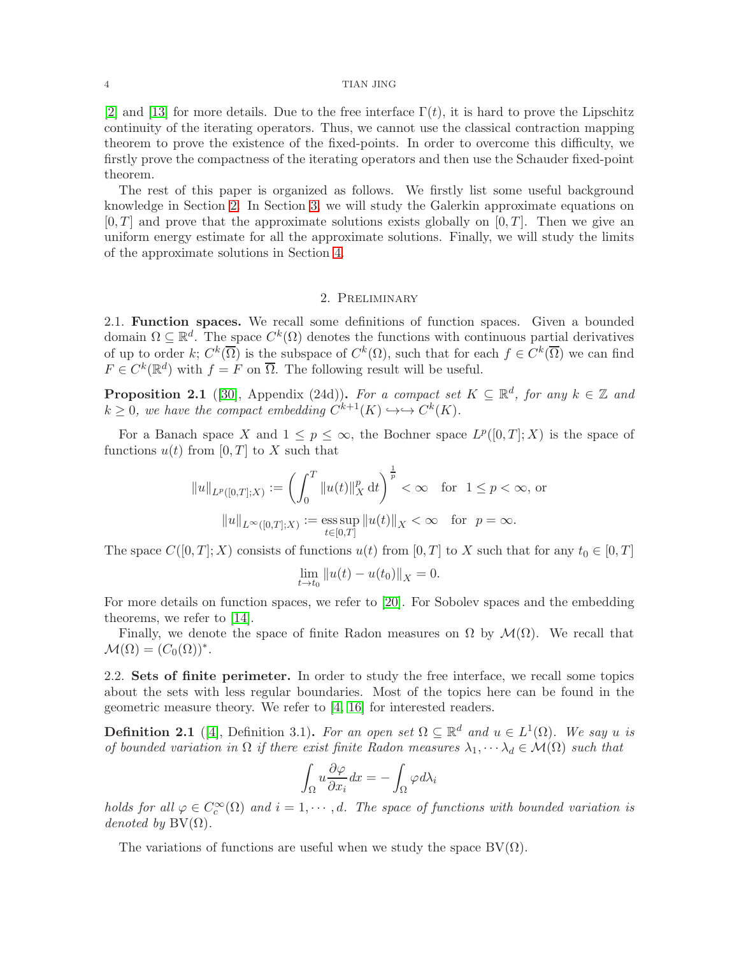#### 4 TIAN JING

[\[2\]](#page-24-1) and [\[13\]](#page-24-3) for more details. Due to the free interface  $\Gamma(t)$ , it is hard to prove the Lipschitz continuity of the iterating operators. Thus, we cannot use the classical contraction mapping theorem to prove the existence of the fixed-points. In order to overcome this difficulty, we firstly prove the compactness of the iterating operators and then use the Schauder fixed-point theorem.

The rest of this paper is organized as follows. We firstly list some useful background knowledge in Section [2.](#page-3-0) In Section [3,](#page-6-0) we will study the Galerkin approximate equations on  $[0, T]$  and prove that the approximate solutions exists globally on  $[0, T]$ . Then we give an uniform energy estimate for all the approximate solutions. Finally, we will study the limits of the approximate solutions in Section [4.](#page-16-0)

# 2. Preliminary

<span id="page-3-0"></span>2.1. Function spaces. We recall some definitions of function spaces. Given a bounded domain  $\Omega \subseteq \mathbb{R}^d$ . The space  $C^k(\Omega)$  denotes the functions with continuous partial derivatives of up to order k;  $C^k(\overline{\Omega})$  is the subspace of  $C^k(\Omega)$ , such that for each  $f \in C^k(\overline{\Omega})$  we can find  $F \in C^{k}(\mathbb{R}^{d})$  with  $f = F$  on  $\overline{\Omega}$ . The following result will be useful.

**Proposition 2.1** ([\[30\]](#page-25-1), Appendix (24d)). For a compact set  $K \subseteq \mathbb{R}^d$ , for any  $k \in \mathbb{Z}$  and  $k \geq 0$ , we have the compact embedding  $C^{k+1}(K) \hookrightarrow \hookrightarrow C^{k}(K)$ .

For a Banach space X and  $1 \leq p \leq \infty$ , the Bochner space  $L^p([0,T];X)$  is the space of functions  $u(t)$  from [0, T] to X such that

$$
||u||_{L^p([0,T];X)} := \left(\int_0^T ||u(t)||_X^p dt\right)^{\frac{1}{p}} < \infty \quad \text{for} \quad 1 \le p < \infty, \text{ or }
$$

$$
||u||_{L^{\infty}([0,T];X)} := \operatorname*{ess\,sup}_{t \in [0,T]} ||u(t)||_X < \infty \quad \text{for} \quad p = \infty.
$$

The space  $C([0,T]; X)$  consists of functions  $u(t)$  from  $[0, T]$  to X such that for any  $t_0 \in [0, T]$ 

$$
\lim_{t \to t_0} \|u(t) - u(t_0)\|_X = 0.
$$

For more details on function spaces, we refer to [\[20\]](#page-24-4). For Sobolev spaces and the embedding theorems, we refer to [\[14\]](#page-24-5).

Finally, we denote the space of finite Radon measures on  $\Omega$  by  $\mathcal{M}(\Omega)$ . We recall that  $\mathcal{M}(\Omega) = (C_0(\Omega))^*$ .

2.2. Sets of finite perimeter. In order to study the free interface, we recall some topics about the sets with less regular boundaries. Most of the topics here can be found in the geometric measure theory. We refer to [\[4,](#page-24-6) [16\]](#page-24-7) for interested readers.

**Definition 2.1** ([\[4\]](#page-24-6), Definition 3.1). For an open set  $\Omega \subseteq \mathbb{R}^d$  and  $u \in L^1(\Omega)$ . We say u is of bounded variation in  $\Omega$  if there exist finite Radon measures  $\lambda_1, \dots, \lambda_d \in \mathcal{M}(\Omega)$  such that

$$
\int_{\Omega} u \frac{\partial \varphi}{\partial x_i} dx = -\int_{\Omega} \varphi d\lambda_i
$$

holds for all  $\varphi \in C_c^{\infty}(\Omega)$  and  $i = 1, \dots, d$ . The space of functions with bounded variation is denoted by  $BV(\Omega)$ .

The variations of functions are useful when we study the space  $BV(\Omega)$ .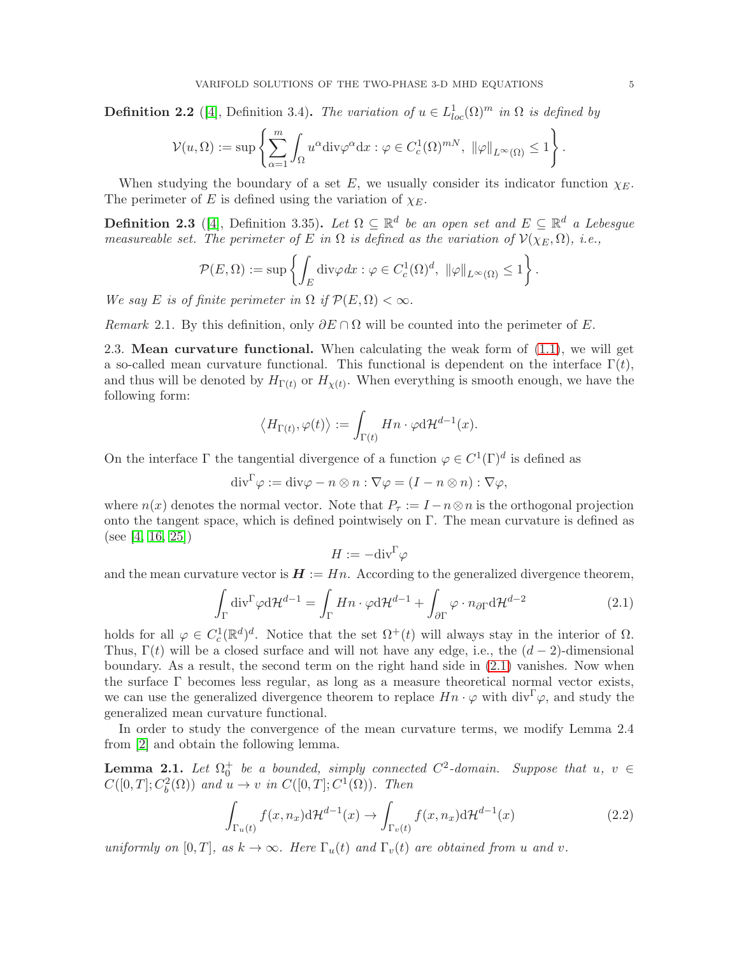**Definition 2.2** ([\[4\]](#page-24-6), Definition 3.4). The variation of  $u \in L^1_{loc}(\Omega)^m$  in  $\Omega$  is defined by

$$
\mathcal{V}(u,\Omega) := \sup \left\{ \sum_{\alpha=1}^m \int_{\Omega} u^{\alpha} \mathrm{div} \varphi^{\alpha} \mathrm{d}x : \varphi \in C_c^1(\Omega)^{mN}, \ \|\varphi\|_{L^{\infty}(\Omega)} \leq 1 \right\}.
$$

When studying the boundary of a set E, we usually consider its indicator function  $\chi_E$ . The perimeter of E is defined using the variation of  $\chi_E$ .

**Definition 2.3** ([\[4\]](#page-24-6), Definition 3.35). Let  $\Omega \subseteq \mathbb{R}^d$  be an open set and  $E \subseteq \mathbb{R}^d$  a Lebesgue measureable set. The perimeter of E in  $\Omega$  is defined as the variation of  $\mathcal{V}(\chi_E, \Omega)$ , i.e.,

$$
\mathcal{P}(E,\Omega) := \sup \left\{ \int_E \text{div}\varphi \, dx : \varphi \in C_c^1(\Omega)^d, \ \|\varphi\|_{L^\infty(\Omega)} \le 1 \right\}.
$$

We say E is of finite perimeter in  $\Omega$  if  $\mathcal{P}(E,\Omega) < \infty$ .

<span id="page-4-0"></span>Remark 2.1. By this definition, only  $\partial E \cap \Omega$  will be counted into the perimeter of E.

2.3. Mean curvature functional. When calculating the weak form of [\(1.1\)](#page-0-0), we will get a so-called mean curvature functional. This functional is dependent on the interface  $\Gamma(t)$ , and thus will be denoted by  $H_{\Gamma(t)}$  or  $H_{\chi(t)}$ . When everything is smooth enough, we have the following form:

$$
\langle H_{\Gamma(t)}, \varphi(t) \rangle := \int_{\Gamma(t)} Hn \cdot \varphi d\mathcal{H}^{d-1}(x).
$$

On the interface  $\Gamma$  the tangential divergence of a function  $\varphi \in C^1(\Gamma)^d$  is defined as

$$
\mathrm{div}^{\Gamma}\varphi:=\mathrm{div}\varphi-n\otimes n:\nabla\varphi=(I-n\otimes n):\nabla\varphi,
$$

where  $n(x)$  denotes the normal vector. Note that  $P_\tau := I - n \otimes n$  is the orthogonal projection onto the tangent space, which is defined pointwisely on Γ. The mean curvature is defined as (see [\[4,](#page-24-6) [16,](#page-24-7) [25\]](#page-25-2))

$$
H:=-{\rm div}^{\Gamma}\varphi
$$

and the mean curvature vector is  $H := Hn$ . According to the generalized divergence theorem,

<span id="page-4-1"></span>
$$
\int_{\Gamma} \text{div}^{\Gamma} \varphi \, d\mathcal{H}^{d-1} = \int_{\Gamma} Hn \cdot \varphi \, d\mathcal{H}^{d-1} + \int_{\partial \Gamma} \varphi \cdot n_{\partial \Gamma} \, d\mathcal{H}^{d-2} \tag{2.1}
$$

holds for all  $\varphi \in C_c^1(\mathbb{R}^d)^d$ . Notice that the set  $\Omega^+(t)$  will always stay in the interior of  $\Omega$ . Thus,  $\Gamma(t)$  will be a closed surface and will not have any edge, i.e., the  $(d-2)$ -dimensional boundary. As a result, the second term on the right hand side in [\(2.1\)](#page-4-1) vanishes. Now when the surface Γ becomes less regular, as long as a measure theoretical normal vector exists, we can use the generalized divergence theorem to replace  $Hn \cdot \varphi$  with div<sup>T</sup> $\varphi$ , and study the generalized mean curvature functional.

In order to study the convergence of the mean curvature terms, we modify Lemma 2.4 from [\[2\]](#page-24-1) and obtain the following lemma.

**Lemma 2.1.** Let  $\Omega_0^+$  be a bounded, simply connected  $C^2$ -domain. Suppose that  $u, v \in$  $C([0,T]; C_b^2(\Omega))$  and  $u \to v$  in  $C([0,T]; C^1(\Omega))$ . Then

$$
\int_{\Gamma_u(t)} f(x, n_x) d\mathcal{H}^{d-1}(x) \to \int_{\Gamma_v(t)} f(x, n_x) d\mathcal{H}^{d-1}(x) \tag{2.2}
$$

uniformly on  $[0, T]$ , as  $k \to \infty$ . Here  $\Gamma_u(t)$  and  $\Gamma_v(t)$  are obtained from u and v.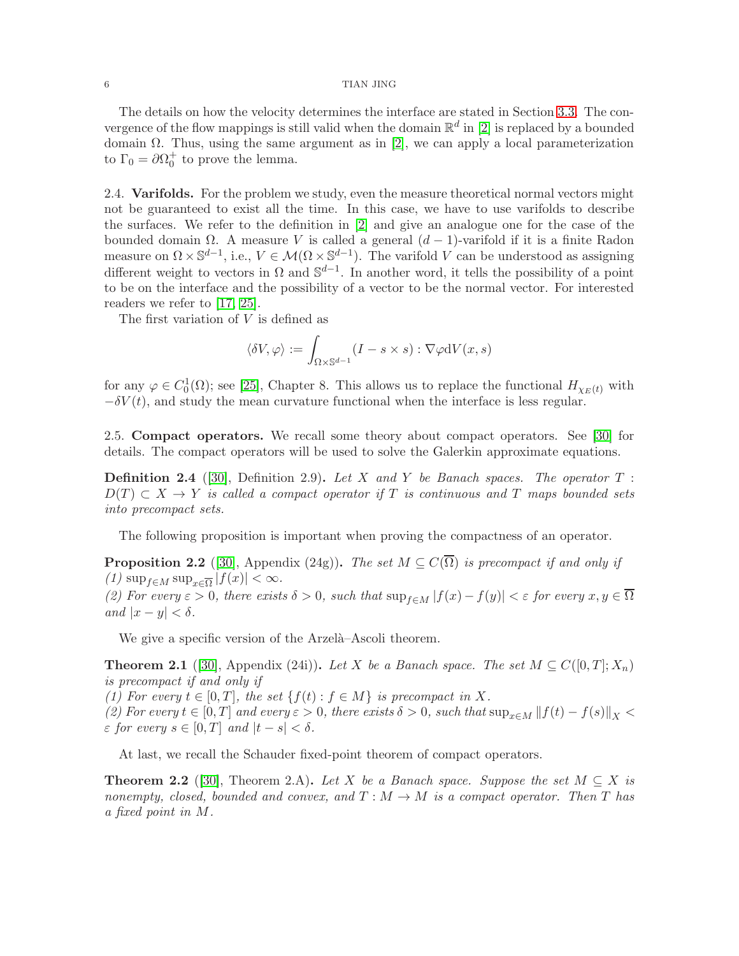#### 6 TIAN JING

The details on how the velocity determines the interface are stated in Section [3.3.](#page-8-0) The convergence of the flow mappings is still valid when the domain  $\mathbb{R}^d$  in [\[2\]](#page-24-1) is replaced by a bounded domain Ω. Thus, using the same argument as in [\[2\]](#page-24-1), we can apply a local parameterization to  $\Gamma_0 = \partial \Omega_0^+$  to prove the lemma.

<span id="page-5-0"></span>2.4. Varifolds. For the problem we study, even the measure theoretical normal vectors might not be guaranteed to exist all the time. In this case, we have to use varifolds to describe the surfaces. We refer to the definition in [\[2\]](#page-24-1) and give an analogue one for the case of the bounded domain Ω. A measure V is called a general  $(d-1)$ -varifold if it is a finite Radon measure on  $\Omega \times \mathbb{S}^{d-1}$ , i.e.,  $V \in \mathcal{M}(\Omega \times \mathbb{S}^{d-1})$ . The varifold V can be understood as assigning different weight to vectors in  $\Omega$  and  $\mathbb{S}^{d-1}$ . In another word, it tells the possibility of a point to be on the interface and the possibility of a vector to be the normal vector. For interested readers we refer to [\[17,](#page-24-8) [25\]](#page-25-2).

The first variation of  $V$  is defined as

$$
\langle \delta V, \varphi \rangle := \int_{\Omega \times \mathbb{S}^{d-1}} (I - s \times s) : \nabla \varphi \mathrm{d} V(x, s)
$$

for any  $\varphi \in C_0^1(\Omega)$ ; see [\[25\]](#page-25-2), Chapter 8. This allows us to replace the functional  $H_{\chi_E(t)}$  with  $-\delta V(t)$ , and study the mean curvature functional when the interface is less regular.

2.5. Compact operators. We recall some theory about compact operators. See [\[30\]](#page-25-1) for details. The compact operators will be used to solve the Galerkin approximate equations.

<span id="page-5-2"></span>**Definition 2.4** ([\[30\]](#page-25-1), Definition 2.9). Let X and Y be Banach spaces. The operator  $T$ :  $D(T) \subset X \to Y$  is called a compact operator if T is continuous and T maps bounded sets into precompact sets.

The following proposition is important when proving the compactness of an operator.

<span id="page-5-1"></span>**Proposition 2.2** ([\[30\]](#page-25-1), Appendix (24g)). The set  $M \subseteq C(\overline{\Omega})$  is precompact if and only if  $(1)$  sup<sub> $f \in M$ </sub> sup $\sum_{x \in \overline{\Omega}} |f(x)| < \infty$ .

(2) For every  $\varepsilon > 0$ , there exists  $\delta > 0$ , such that  $\sup_{f \in M} |f(x) - f(y)| < \varepsilon$  for every  $x, y \in \overline{\Omega}$ and  $|x-y| < \delta$ .

We give a specific version of the Arzelà–Ascoli theorem.

**Theorem 2.1** ([\[30\]](#page-25-1), Appendix (24i)). Let X be a Banach space. The set  $M \subseteq C([0,T]; X_n)$ is precompact if and only if

(1) For every  $t \in [0, T]$ , the set  $\{f(t) : f \in M\}$  is precompact in X.

(2) For every  $t \in [0, T]$  and every  $\varepsilon > 0$ , there exists  $\delta > 0$ , such that  $\sup_{x \in M} ||f(t) - f(s)||_X$  $\varepsilon$  for every  $s \in [0, T]$  and  $|t - s| < \delta$ .

At last, we recall the Schauder fixed-point theorem of compact operators.

<span id="page-5-3"></span>**Theorem 2.2** ([\[30\]](#page-25-1), Theorem 2.A). Let X be a Banach space. Suppose the set  $M \subseteq X$  is nonempty, closed, bounded and convex, and  $T : M \to M$  is a compact operator. Then T has a fixed point in M.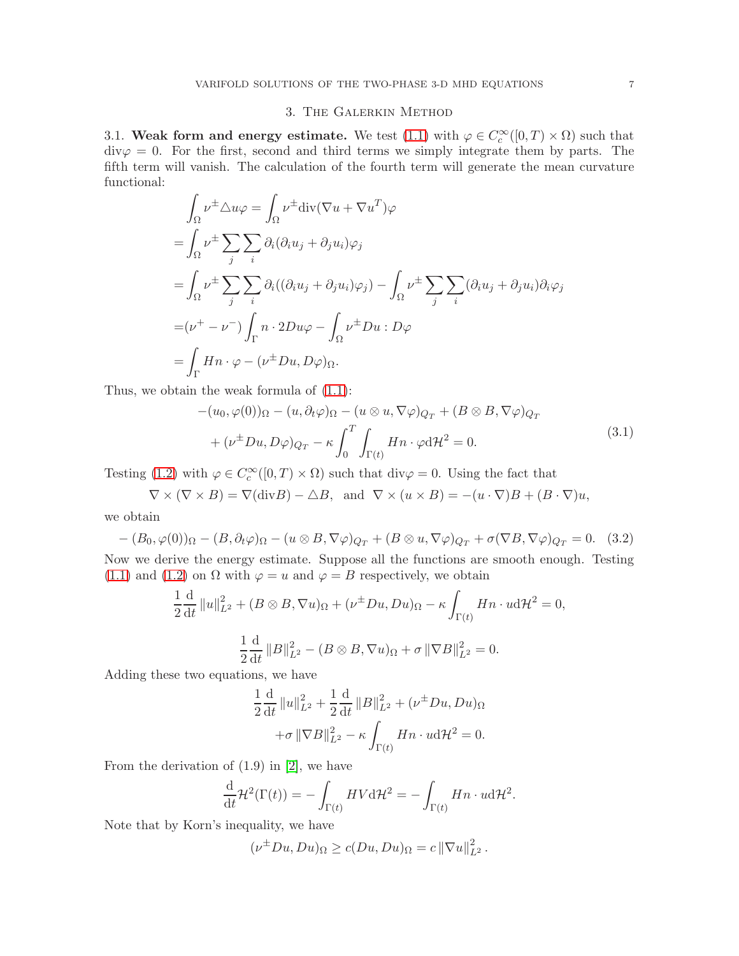### 3. The Galerkin Method

<span id="page-6-0"></span>3.1. Weak form and energy estimate. We test [\(1.1\)](#page-0-0) with  $\varphi \in C_c^{\infty}([0,T) \times \Omega)$  such that  $div\varphi = 0$ . For the first, second and third terms we simply integrate them by parts. The fifth term will vanish. The calculation of the fourth term will generate the mean curvature functional:

$$
\int_{\Omega} \nu^{\pm} \Delta u \varphi = \int_{\Omega} \nu^{\pm} \text{div}(\nabla u + \nabla u^{T}) \varphi
$$
\n
$$
= \int_{\Omega} \nu^{\pm} \sum_{j} \sum_{i} \partial_{i} (\partial_{i} u_{j} + \partial_{j} u_{i}) \varphi_{j}
$$
\n
$$
= \int_{\Omega} \nu^{\pm} \sum_{j} \sum_{i} \partial_{i} ((\partial_{i} u_{j} + \partial_{j} u_{i}) \varphi_{j}) - \int_{\Omega} \nu^{\pm} \sum_{j} \sum_{i} (\partial_{i} u_{j} + \partial_{j} u_{i}) \partial_{i} \varphi_{j}
$$
\n
$$
= (\nu^{+} - \nu^{-}) \int_{\Gamma} n \cdot 2D u \varphi - \int_{\Omega} \nu^{\pm} Du : D \varphi
$$
\n
$$
= \int_{\Gamma} Hn \cdot \varphi - (\nu^{\pm} Du, D \varphi) \Omega.
$$

Thus, we obtain the weak formula of [\(1.1\)](#page-0-0):

$$
-(u_0, \varphi(0))_{\Omega} - (u, \partial_t \varphi)_{\Omega} - (u \otimes u, \nabla \varphi)_{Q_T} + (B \otimes B, \nabla \varphi)_{Q_T}
$$
  
+ 
$$
(\nu^{\pm} Du, D\varphi)_{Q_T} - \kappa \int_0^T \int_{\Gamma(t)} Hn \cdot \varphi d\mathcal{H}^2 = 0.
$$
 (3.1)

Testing [\(1.2\)](#page-0-2) with  $\varphi \in C_c^{\infty}([0, T) \times \Omega)$  such that div $\varphi = 0$ . Using the fact that

$$
\nabla \times (\nabla \times B) = \nabla(\text{div}B) - \triangle B, \text{ and } \nabla \times (u \times B) = -(u \cdot \nabla)B + (B \cdot \nabla)u,
$$

we obtain

$$
-(B_0, \varphi(0))_{\Omega} - (B, \partial_t \varphi)_{\Omega} - (u \otimes B, \nabla \varphi)_{Q_T} + (B \otimes u, \nabla \varphi)_{Q_T} + \sigma (\nabla B, \nabla \varphi)_{Q_T} = 0.
$$
 (3.2)

Now we derive the energy estimate. Suppose all the functions are smooth enough. Testing [\(1.1\)](#page-0-0) and [\(1.2\)](#page-0-2) on  $\Omega$  with  $\varphi = u$  and  $\varphi = B$  respectively, we obtain

$$
\frac{1}{2}\frac{\mathrm{d}}{\mathrm{d}t}||u||_{L^2}^2 + (B \otimes B, \nabla u)_{\Omega} + (\nu^{\pm}Du, Du)_{\Omega} - \kappa \int_{\Gamma(t)} Hn \cdot u \mathrm{d}t^2 = 0,
$$
  

$$
\frac{1}{2}\frac{\mathrm{d}}{\mathrm{d}t}||B||_{L^2}^2 - (B \otimes B, \nabla u)_{\Omega} + \sigma ||\nabla B||_{L^2}^2 = 0.
$$

Adding these two equations, we have

$$
\frac{1}{2} \frac{d}{dt} ||u||_{L^{2}}^{2} + \frac{1}{2} \frac{d}{dt} ||B||_{L^{2}}^{2} + (\nu^{\pm} Du, Du)_{\Omega} \n+ \sigma ||\nabla B||_{L^{2}}^{2} - \kappa \int_{\Gamma(t)} Hn \cdot u d\mathcal{H}^{2} = 0.
$$

From the derivation of (1.9) in [\[2\]](#page-24-1), we have

$$
\frac{\mathrm{d}}{\mathrm{d}t} \mathcal{H}^2(\Gamma(t)) = -\int_{\Gamma(t)} HV \mathrm{d}\mathcal{H}^2 = -\int_{\Gamma(t)} Hn \cdot u \mathrm{d}\mathcal{H}^2.
$$

Note that by Korn's inequality, we have

$$
(\nu^{\pm}Du, Du)_{\Omega} \ge c(Du, Du)_{\Omega} = c ||\nabla u||_{L^2}^2.
$$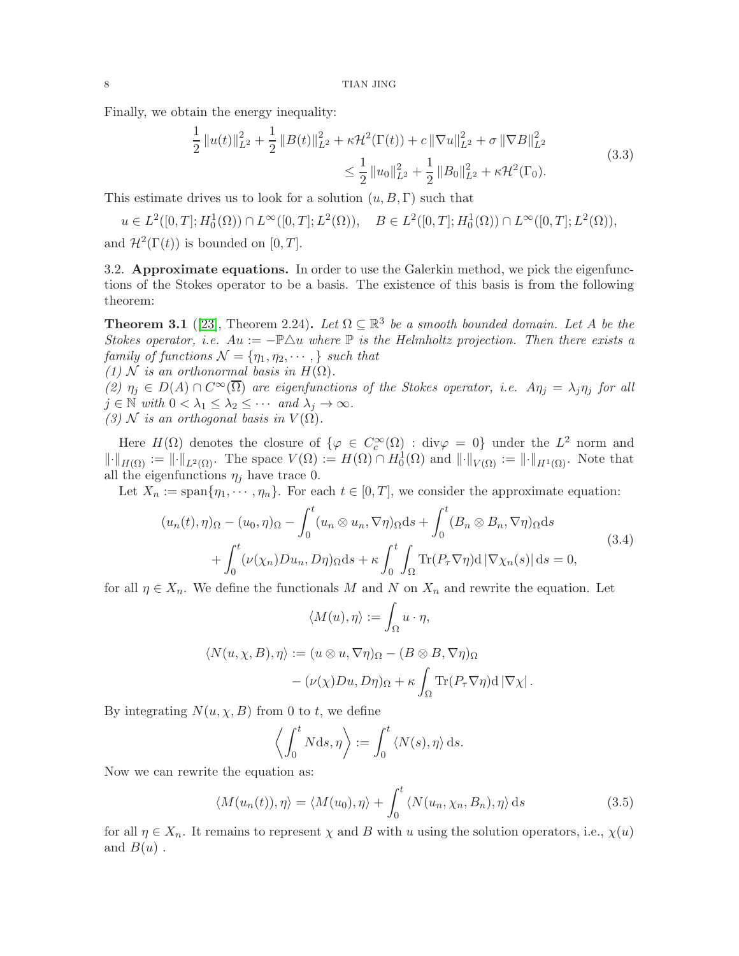Finally, we obtain the energy inequality:

$$
\frac{1}{2} ||u(t)||_{L^{2}}^{2} + \frac{1}{2} ||B(t)||_{L^{2}}^{2} + \kappa \mathcal{H}^{2}(\Gamma(t)) + c ||\nabla u||_{L^{2}}^{2} + \sigma ||\nabla B||_{L^{2}}^{2}
$$
\n
$$
\leq \frac{1}{2} ||u_{0}||_{L^{2}}^{2} + \frac{1}{2} ||B_{0}||_{L^{2}}^{2} + \kappa \mathcal{H}^{2}(\Gamma_{0}).
$$
\n(3.3)

This estimate drives us to look for a solution  $(u, B, \Gamma)$  such that

$$
u \in L^{2}([0, T]; H_{0}^{1}(\Omega)) \cap L^{\infty}([0, T]; L^{2}(\Omega)), \quad B \in L^{2}([0, T]; H_{0}^{1}(\Omega)) \cap L^{\infty}([0, T]; L^{2}(\Omega)),
$$
  
and  $\mathcal{H}^{2}(\Gamma(t))$  is bounded on [0, T].

and  $\mathcal{H}^2(\Gamma(t))$  is bounded on [0, T].

3.2. Approximate equations. In order to use the Galerkin method, we pick the eigenfunctions of the Stokes operator to be a basis. The existence of this basis is from the following theorem:

**Theorem 3.1** ([\[23\]](#page-24-9), Theorem 2.24). Let  $\Omega \subseteq \mathbb{R}^3$  be a smooth bounded domain. Let A be the Stokes operator, i.e.  $Au := -\mathbb{P}\Delta u$  where  $\mathbb P$  is the Helmholtz projection. Then there exists a family of functions  $\mathcal{N} = {\eta_1, \eta_2, \cdots, \}$  such that (1) N is an orthonormal basis in  $H(\Omega)$ . (2)  $\eta_j \in D(A) \cap C^{\infty}(\overline{\Omega})$  are eigenfunctions of the Stokes operator, i.e.  $A\eta_j = \lambda_j \eta_j$  for all

 $j \in \mathbb{N}$  with  $0 < \lambda_1 \leq \lambda_2 \leq \cdots$  and  $\lambda_j \to \infty$ . (3) N is an orthogonal basis in  $V(\Omega)$ .

Here  $H(\Omega)$  denotes the closure of  $\{\varphi \in C_c^{\infty}(\Omega) : \text{div}\varphi = 0\}$  under the  $L^2$  norm and  $\lVert \cdot \rVert_{H(\Omega)} := \lVert \cdot \rVert_{L^2(\Omega)}$ . The space  $V(\Omega) := H(\Omega) \cap H_0^1(\Omega)$  and  $\lVert \cdot \rVert_{V(\Omega)} := \lVert \cdot \rVert_{H^1(\Omega)}$ . Note that all the eigenfunctions  $\eta_i$  have trace 0.

Let  $X_n := \text{span}\{\eta_1, \dots, \eta_n\}$ . For each  $t \in [0, T]$ , we consider the approximate equation:

<span id="page-7-0"></span>
$$
(u_n(t), \eta)_{\Omega} - (u_0, \eta)_{\Omega} - \int_0^t (u_n \otimes u_n, \nabla \eta)_{\Omega} ds + \int_0^t (B_n \otimes B_n, \nabla \eta)_{\Omega} ds + \int_0^t (\nu(\chi_n) Du_n, D\eta)_{\Omega} ds + \kappa \int_0^t \int_{\Omega} \text{Tr}(P_\tau \nabla \eta) d |\nabla \chi_n(s)| ds = 0,
$$
\n(3.4)

for all  $\eta \in X_n$ . We define the functionals M and N on  $X_n$  and rewrite the equation. Let

$$
\langle M(u), \eta \rangle := \int_{\Omega} u \cdot \eta,
$$
  

$$
\langle N(u, \chi, B), \eta \rangle := (u \otimes u, \nabla \eta)_{\Omega} - (B \otimes B, \nabla \eta)_{\Omega}
$$
  

$$
- (\nu(\chi)Du, D\eta)_{\Omega} + \kappa \int_{\Omega} \text{Tr}(P_{\tau} \nabla \eta) d |\nabla \chi|.
$$

By integrating  $N(u, \chi, B)$  from 0 to t, we define

$$
\left\langle \int_0^t N \mathrm{d} s, \eta \right\rangle := \int_0^t \left\langle N(s), \eta \right\rangle \mathrm{d} s.
$$

Now we can rewrite the equation as:

$$
\langle M(u_n(t)), \eta \rangle = \langle M(u_0), \eta \rangle + \int_0^t \langle N(u_n, \chi_n, B_n), \eta \rangle \, ds \tag{3.5}
$$

for all  $\eta \in X_n$ . It remains to represent  $\chi$  and B with u using the solution operators, i.e.,  $\chi(u)$ and  $B(u)$ .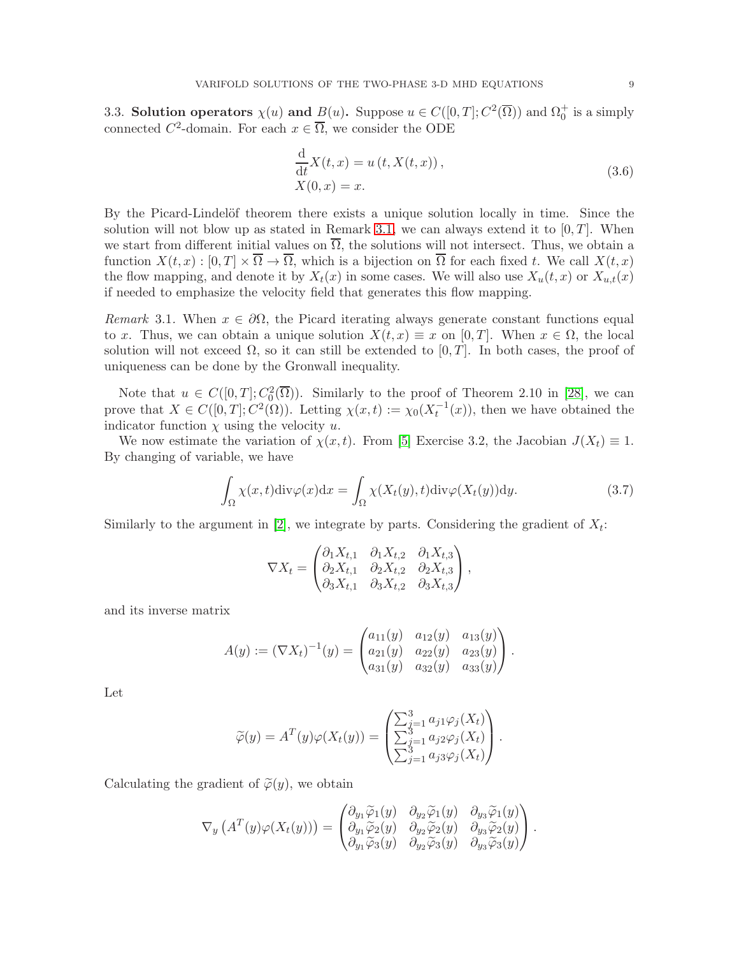<span id="page-8-0"></span>3.3. Solution operators  $\chi(u)$  and  $\underline{B}(u)$ . Suppose  $u \in C([0, T]; C^2(\overline{\Omega}))$  and  $\Omega_0^+$  is a simply connected  $C^2$ -domain. For each  $x \in \overline{\Omega}$ , we consider the ODE

$$
\frac{\mathrm{d}}{\mathrm{d}t}X(t,x) = u(t,X(t,x)),
$$
\n
$$
X(0,x) = x.
$$
\n(3.6)

By the Picard-Lindelöf theorem there exists a unique solution locally in time. Since the solution will not blow up as stated in Remark [3.1,](#page-8-1) we can always extend it to  $[0, T]$ . When we start from different initial values on  $\overline{\Omega}$ , the solutions will not intersect. Thus, we obtain a function  $X(t, x) : [0, T] \times \overline{\Omega} \to \overline{\Omega}$ , which is a bijection on  $\overline{\Omega}$  for each fixed t. We call  $X(t, x)$ the flow mapping, and denote it by  $X_t(x)$  in some cases. We will also use  $X_u(t, x)$  or  $X_{u,t}(x)$ if needed to emphasize the velocity field that generates this flow mapping.

<span id="page-8-1"></span>Remark 3.1. When  $x \in \partial\Omega$ , the Picard iterating always generate constant functions equal to x. Thus, we can obtain a unique solution  $X(t, x) \equiv x$  on [0, T]. When  $x \in \Omega$ , the local solution will not exceed  $\Omega$ , so it can still be extended to  $[0, T]$ . In both cases, the proof of uniqueness can be done by the Gronwall inequality.

Note that  $u \in C([0,T]; C_0^2(\overline{\Omega}))$ . Similarly to the proof of Theorem 2.10 in [\[28\]](#page-25-3), we can prove that  $X \in C([0,T]; C^2(\Omega))$ . Letting  $\chi(x,t) := \chi_0(X_t^{-1}(x))$ , then we have obtained the indicator function  $\chi$  using the velocity u.

We now estimate the variation of  $\chi(x, t)$ . From [\[5\]](#page-24-10) Exercise 3.2, the Jacobian  $J(X_t) \equiv 1$ . By changing of variable, we have

$$
\int_{\Omega} \chi(x,t) \text{div}\varphi(x) dx = \int_{\Omega} \chi(X_t(y),t) \text{div}\varphi(X_t(y)) dy.
$$
\n(3.7)

Similarly to the argument in [\[2\]](#page-24-1), we integrate by parts. Considering the gradient of  $X_t$ :

<span id="page-8-2"></span>
$$
\nabla X_t = \begin{pmatrix} \partial_1 X_{t,1} & \partial_1 X_{t,2} & \partial_1 X_{t,3} \\ \partial_2 X_{t,1} & \partial_2 X_{t,2} & \partial_2 X_{t,3} \\ \partial_3 X_{t,1} & \partial_3 X_{t,2} & \partial_3 X_{t,3} \end{pmatrix},
$$

and its inverse matrix

$$
A(y) := (\nabla X_t)^{-1}(y) = \begin{pmatrix} a_{11}(y) & a_{12}(y) & a_{13}(y) \\ a_{21}(y) & a_{22}(y) & a_{23}(y) \\ a_{31}(y) & a_{32}(y) & a_{33}(y) \end{pmatrix}.
$$

Let

$$
\widetilde{\varphi}(y) = A^T(y)\varphi(X_t(y)) = \begin{pmatrix} \sum_{j=1}^3 a_{j1}\varphi_j(X_t) \\ \sum_{j=1}^3 a_{j2}\varphi_j(X_t) \\ \sum_{j=1}^3 a_{j3}\varphi_j(X_t) \end{pmatrix}.
$$

Calculating the gradient of  $\tilde{\varphi}(y)$ , we obtain

$$
\nabla_y \left( A^T(y) \varphi(X_t(y)) \right) = \begin{pmatrix} \partial_{y_1} \widetilde{\varphi}_1(y) & \partial_{y_2} \widetilde{\varphi}_1(y) & \partial_{y_3} \widetilde{\varphi}_1(y) \\ \partial_{y_1} \widetilde{\varphi}_2(y) & \partial_{y_2} \widetilde{\varphi}_2(y) & \partial_{y_3} \widetilde{\varphi}_2(y) \\ \partial_{y_1} \widetilde{\varphi}_3(y) & \partial_{y_2} \widetilde{\varphi}_3(y) & \partial_{y_3} \widetilde{\varphi}_3(y) \end{pmatrix}.
$$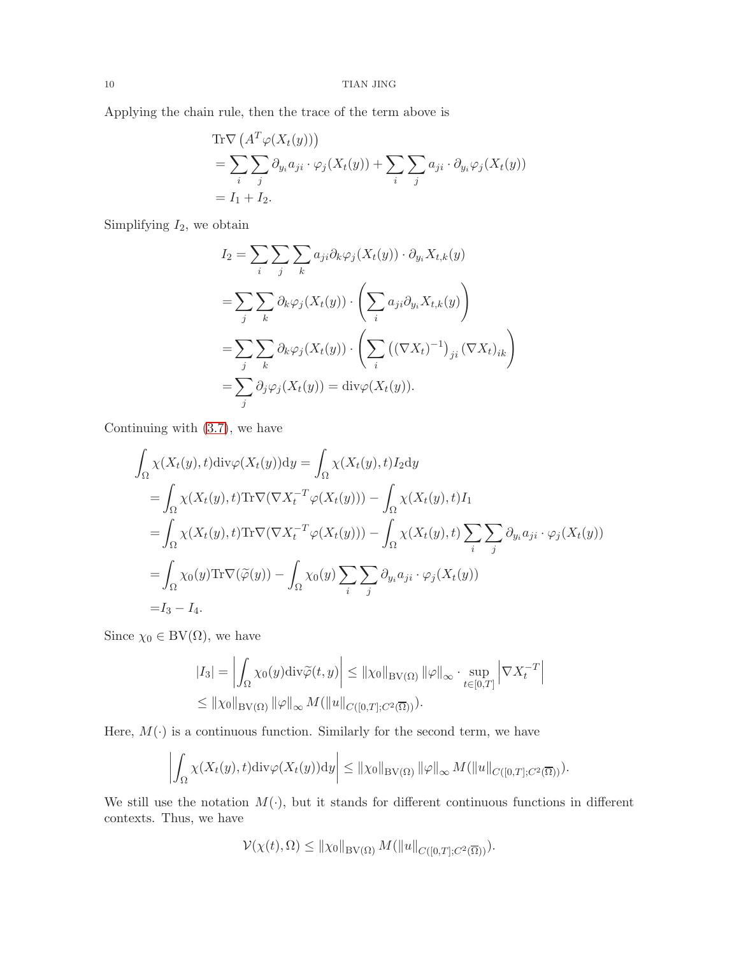Applying the chain rule, then the trace of the term above is

$$
\begin{aligned} \text{Tr}\nabla \left( A^T \varphi(X_t(y)) \right) \\ &= \sum_i \sum_j \partial_{y_i} a_{ji} \cdot \varphi_j(X_t(y)) + \sum_i \sum_j a_{ji} \cdot \partial_{y_i} \varphi_j(X_t(y)) \\ &= I_1 + I_2. \end{aligned}
$$

Simplifying  $I_2$ , we obtain

$$
I_2 = \sum_{i} \sum_{j} \sum_{k} a_{ji} \partial_k \varphi_j(X_t(y)) \cdot \partial_{y_i} X_{t,k}(y)
$$
  
= 
$$
\sum_{j} \sum_{k} \partial_k \varphi_j(X_t(y)) \cdot \left( \sum_{i} a_{ji} \partial_{y_i} X_{t,k}(y) \right)
$$
  
= 
$$
\sum_{j} \sum_{k} \partial_k \varphi_j(X_t(y)) \cdot \left( \sum_{i} \left( (\nabla X_t)^{-1} \right)_{ji} (\nabla X_t)_{ik} \right)
$$
  
= 
$$
\sum_{j} \partial_j \varphi_j(X_t(y)) = \text{div}\varphi(X_t(y)).
$$

Continuing with [\(3.7\)](#page-8-2), we have

$$
\int_{\Omega} \chi(X_t(y), t) \text{div}\varphi(X_t(y)) \text{d}y = \int_{\Omega} \chi(X_t(y), t) I_2 \text{d}y
$$
\n
$$
= \int_{\Omega} \chi(X_t(y), t) \text{Tr}\nabla(\nabla X_t^{-T} \varphi(X_t(y))) - \int_{\Omega} \chi(X_t(y), t) I_1
$$
\n
$$
= \int_{\Omega} \chi(X_t(y), t) \text{Tr}\nabla(\nabla X_t^{-T} \varphi(X_t(y))) - \int_{\Omega} \chi(X_t(y), t) \sum_i \sum_j \partial_{y_i} a_{ji} \cdot \varphi_j(X_t(y))
$$
\n
$$
= \int_{\Omega} \chi_0(y) \text{Tr}\nabla(\tilde{\varphi}(y)) - \int_{\Omega} \chi_0(y) \sum_i \sum_j \partial_{y_i} a_{ji} \cdot \varphi_j(X_t(y))
$$
\n
$$
= I_3 - I_4.
$$

Since  $\chi_0 \in BV(\Omega)$ , we have

$$
|I_3| = \left| \int_{\Omega} \chi_0(y) \operatorname{div} \widetilde{\varphi}(t, y) \right| \leq ||\chi_0||_{\text{BV}(\Omega)} ||\varphi||_{\infty} \cdot \sup_{t \in [0, T]} \left| \nabla X_t^{-T} \right|
$$
  

$$
\leq ||\chi_0||_{\text{BV}(\Omega)} ||\varphi||_{\infty} M(||u||_{C([0, T]; C^2(\overline{\Omega}))}).
$$

Here,  $M(\cdot)$  is a continuous function. Similarly for the second term, we have

$$
\left| \int_{\Omega} \chi(X_t(y), t) \mathrm{div} \varphi(X_t(y)) \mathrm{d} y \right| \leq \|\chi_0\|_{\text{BV}(\Omega)} \|\varphi\|_{\infty} M(\|u\|_{C([0,T]; C^2(\overline{\Omega}))}).
$$

We still use the notation  $M(\cdot)$ , but it stands for different continuous functions in different contexts. Thus, we have

$$
\mathcal{V}(\chi(t),\Omega) \leq \|\chi_0\|_{BV(\Omega)} M(\|u\|_{C([0,T];C^2(\overline{\Omega}))}).
$$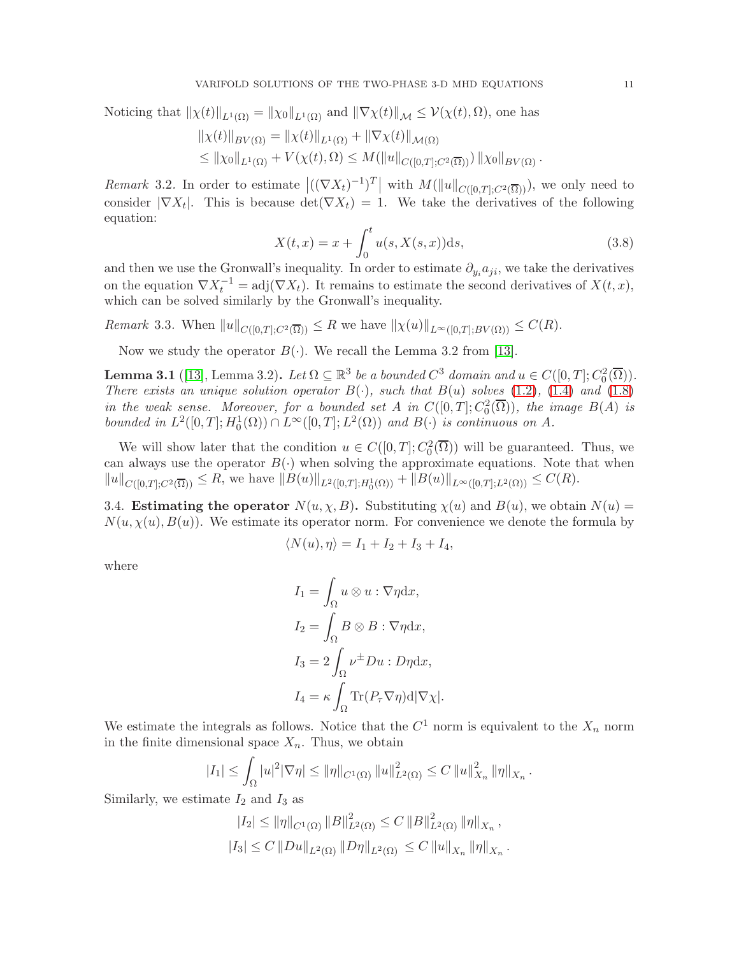Noticing that 
$$
\|\chi(t)\|_{L^1(\Omega)} = \|\chi_0\|_{L^1(\Omega)}
$$
 and  $\|\nabla \chi(t)\|_{\mathcal{M}} \leq \mathcal{V}(\chi(t), \Omega)$ , one has  
\n $\|\chi(t)\|_{BV(\Omega)} = \|\chi(t)\|_{L^1(\Omega)} + \|\nabla \chi(t)\|_{\mathcal{M}(\Omega)}$   
\n $\leq \|\chi_0\|_{L^1(\Omega)} + V(\chi(t), \Omega) \leq M(\|u\|_{C([0,T];C^2(\overline{\Omega}))}) \|\chi_0\|_{BV(\Omega)}$ .

Remark 3.2. In order to estimate  $\left|((\nabla X_t)^{-1})^T\right|$  with  $M(\|u\|_{C([0,T];C^2(\overline{\Omega}))})$ , we only need to consider  $|\nabla X_t|$ . This is because  $\det(\nabla X_t) = 1$ . We take the derivatives of the following equation:

$$
X(t,x) = x + \int_0^t u(s, X(s,x))ds,
$$
\n(3.8)

and then we use the Gronwall's inequality. In order to estimate  $\partial_{y_i} a_{ji}$ , we take the derivatives on the equation  $\nabla X_t^{-1} = adj(\nabla X_t)$ . It remains to estimate the second derivatives of  $X(t, x)$ , which can be solved similarly by the Gronwall's inequality.

Remark 3.3. When  $||u||_{C([0,T];C^2(\overline{\Omega}))} \leq R$  we have  $||\chi(u)||_{L^{\infty}([0,T];BV(\Omega))} \leq C(R)$ .

Now we study the operator  $B(\cdot)$ . We recall the Lemma 3.2 from [\[13\]](#page-24-3).

<span id="page-10-0"></span>**Lemma 3.1** ([\[13\]](#page-24-3), Lemma 3.2). Let  $\Omega \subseteq \mathbb{R}^3$  be a bounded  $C^3$  domain and  $u \in C([0, T]; C_0^2(\overline{\Omega}))$ . There exists an unique solution operator  $B(\cdot)$ , such that  $B(u)$  solves [\(1.2\)](#page-0-2), [\(1.4\)](#page-0-3) and [\(1.8\)](#page-0-1) in the weak sense. Moreover, for a bounded set A in  $C([0,T]; C_0^2(\overline{\Omega}))$ , the image  $B(A)$  is bounded in  $L^2([0,T]; H_0^1(\Omega)) \cap L^\infty([0,T]; L^2(\Omega))$  and  $B(\cdot)$  is continuous on A.

We will show later that the condition  $u \in C([0,T]; C_0^2(\overline{\Omega}))$  will be guaranteed. Thus, we can always use the operator  $B(\cdot)$  when solving the approximate equations. Note that when  $||u||_{C([0,T];C^2(\overline{\Omega}))} \leq R$ , we have  $||B(u)||_{L^2([0,T];H_0^1(\Omega))} + ||B(u)||_{L^{\infty}([0,T];L^2(\Omega))} \leq C(R)$ .

3.4. Estimating the operator  $N(u, \chi, B)$ . Substituting  $\chi(u)$  and  $B(u)$ , we obtain  $N(u) =$  $N(u, \chi(u), B(u))$ . We estimate its operator norm. For convenience we denote the formula by

$$
\langle N(u), \eta \rangle = I_1 + I_2 + I_3 + I_4,
$$

where

$$
I_1 = \int_{\Omega} u \otimes u : \nabla \eta \, dx,
$$
  
\n
$$
I_2 = \int_{\Omega} B \otimes B : \nabla \eta \, dx,
$$
  
\n
$$
I_3 = 2 \int_{\Omega} \nu^{\pm} Du : D\eta \, dx,
$$
  
\n
$$
I_4 = \kappa \int_{\Omega} \text{Tr}(P_{\tau} \nabla \eta) \, d|\nabla \chi|.
$$

We estimate the integrals as follows. Notice that the  $C^1$  norm is equivalent to the  $X_n$  norm in the finite dimensional space  $X_n$ . Thus, we obtain

$$
|I_1| \leq \int_{\Omega} |u|^2 |\nabla \eta| \leq ||\eta||_{C^1(\Omega)} ||u||^2_{L^2(\Omega)} \leq C ||u||^2_{X_n} ||\eta||_{X_n}.
$$

Similarly, we estimate  $I_2$  and  $I_3$  as

$$
|I_2| \le ||\eta||_{C^1(\Omega)} ||B||_{L^2(\Omega)}^2 \le C ||B||_{L^2(\Omega)}^2 ||\eta||_{X_n},
$$
  

$$
|I_3| \le C ||Du||_{L^2(\Omega)} ||D\eta||_{L^2(\Omega)} \le C ||u||_{X_n} ||\eta||_{X_n}.
$$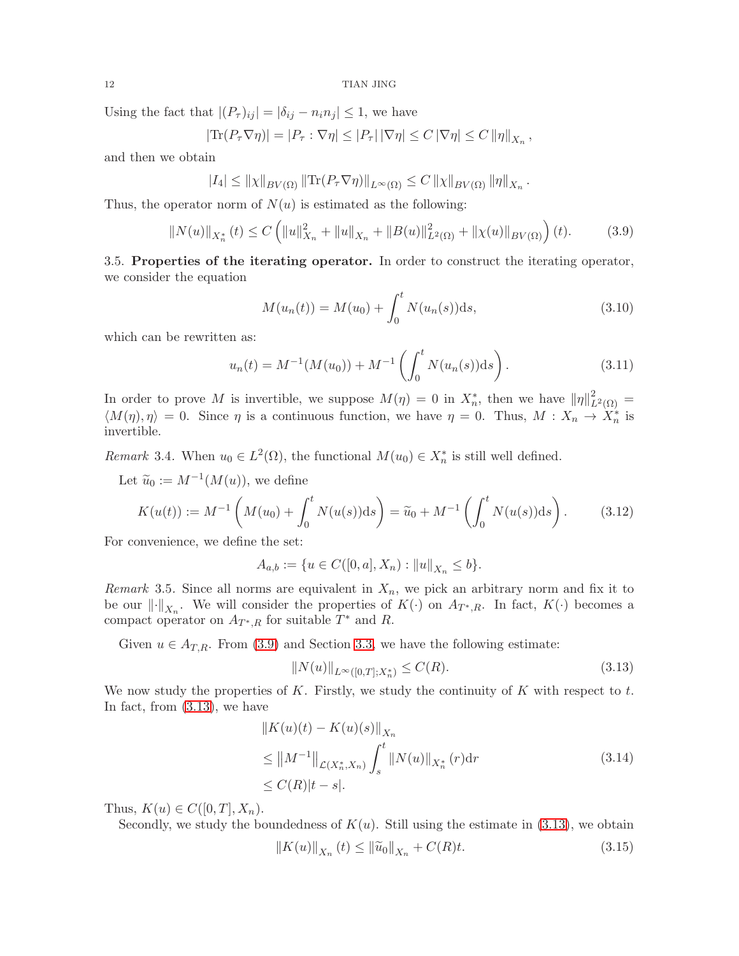Using the fact that  $|(P_{\tau})_{ij}| = |\delta_{ij} - n_i n_j| \leq 1$ , we have

$$
|\text{Tr}(P_{\tau}\nabla\eta)| = |P_{\tau}:\nabla\eta| \leq |P_{\tau}|\,|\nabla\eta| \leq C\,|\nabla\eta| \leq C\,\|\eta\|_{X_n}\,,
$$

and then we obtain

$$
|I_4| \leq ||\chi||_{BV(\Omega)} ||\text{Tr}(P_{\tau} \nabla \eta)||_{L^{\infty}(\Omega)} \leq C ||\chi||_{BV(\Omega)} ||\eta||_{X_n}.
$$

Thus, the operator norm of  $N(u)$  is estimated as the following:

<span id="page-11-0"></span>
$$
||N(u)||_{X_n^*}(t) \le C \left( ||u||_{X_n}^2 + ||u||_{X_n} + ||B(u)||_{L^2(\Omega)}^2 + ||\chi(u)||_{BV(\Omega)} \right)(t).
$$
 (3.9)

3.5. Properties of the iterating operator. In order to construct the iterating operator, we consider the equation

$$
M(u_n(t)) = M(u_0) + \int_0^t N(u_n(s))ds,
$$
\n(3.10)

which can be rewritten as:

$$
u_n(t) = M^{-1}(M(u_0)) + M^{-1}\left(\int_0^t N(u_n(s))ds\right).
$$
 (3.11)

In order to prove M is invertible, we suppose  $M(\eta) = 0$  in  $X_n^*$ , then we have  $\|\eta\|_{L^2(\Omega)}^2 =$  $\langle M(\eta), \eta \rangle = 0$ . Since  $\eta$  is a continuous function, we have  $\eta = 0$ . Thus,  $M : X_n \to X_n^*$  is invertible.

Remark 3.4. When  $u_0 \in L^2(\Omega)$ , the functional  $M(u_0) \in X_n^*$  is still well defined.

Let  $\widetilde{u}_0 := M^{-1}(M(u))$ , we define

$$
K(u(t)) := M^{-1}\left(M(u_0) + \int_0^t N(u(s))ds\right) = \tilde{u}_0 + M^{-1}\left(\int_0^t N(u(s))ds\right).
$$
 (3.12)

For convenience, we define the set:

$$
A_{a,b}:=\{u\in C([0,a],X_n):\|u\|_{X_n}\leq b\}.
$$

Remark 3.5. Since all norms are equivalent in  $X_n$ , we pick an arbitrary norm and fix it to be our  $\|\cdot\|_{X_n}$ . We will consider the properties of  $K(\cdot)$  on  $A_{T^*,R}$ . In fact,  $K(\cdot)$  becomes a compact operator on  $A_{T^*,R}$  for suitable  $T^*$  and R.

Given  $u \in A_{T,R}$ . From [\(3.9\)](#page-11-0) and Section [3.3,](#page-8-0) we have the following estimate:

<span id="page-11-1"></span>
$$
||N(u)||_{L^{\infty}([0,T];X_n^*)} \le C(R). \tag{3.13}
$$

We now study the properties of K. Firstly, we study the continuity of K with respect to  $t$ . In fact, from [\(3.13\)](#page-11-1), we have

<span id="page-11-3"></span>
$$
||K(u)(t) - K(u)(s)||_{X_n}
$$
  
\n
$$
\leq ||M^{-1}||_{\mathcal{L}(X_n^*, X_n)} \int_s^t ||N(u)||_{X_n^*}(r) dr
$$
  
\n
$$
\leq C(R)|t - s|.
$$
\n(3.14)

Thus,  $K(u) \in C([0, T], X_n)$ .

Secondly, we study the boundedness of  $K(u)$ . Still using the estimate in [\(3.13\)](#page-11-1), we obtain

<span id="page-11-2"></span>
$$
||K(u)||_{X_n}(t) \le ||\widetilde{u}_0||_{X_n} + C(R)t. \tag{3.15}
$$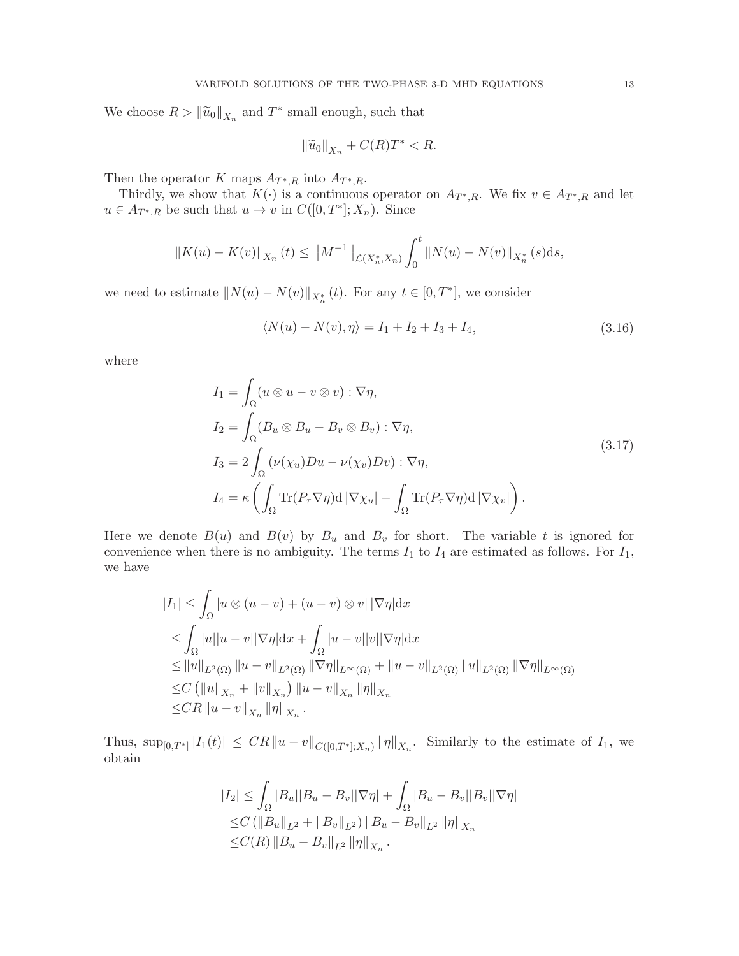We choose  $R > \|\widetilde{u}_0\|_{X_n}$  and  $T^*$  small enough, such that

$$
\|\widetilde{u}_0\|_{X_n} + C(R)T^* < R.
$$

Then the operator K maps  $A_{T^*,R}$  into  $A_{T^*,R}$ .

Thirdly, we show that  $K(\cdot)$  is a continuous operator on  $A_{T^*,R}$ . We fix  $v \in A_{T^*,R}$  and let  $u \in A_{T^*,R}$  be such that  $u \to v$  in  $C([0,T^*];X_n)$ . Since

$$
||K(u) - K(v)||_{X_n}(t) \le ||M^{-1}||_{\mathcal{L}(X_n^*, X_n)} \int_0^t ||N(u) - N(v)||_{X_n^*}(s) ds,
$$

we need to estimate  $||N(u) - N(v)||_{X_n^*}(t)$ . For any  $t \in [0, T^*]$ , we consider

$$
\langle N(u) - N(v), \eta \rangle = I_1 + I_2 + I_3 + I_4, \tag{3.16}
$$

where

$$
I_1 = \int_{\Omega} (u \otimes u - v \otimes v) : \nabla \eta,
$$
  
\n
$$
I_2 = \int_{\Omega} (B_u \otimes B_u - B_v \otimes B_v) : \nabla \eta,
$$
  
\n
$$
I_3 = 2 \int_{\Omega} (\nu(\chi_u)Du - \nu(\chi_v)Dv) : \nabla \eta,
$$
  
\n
$$
I_4 = \kappa \left( \int_{\Omega} \text{Tr}(P_{\tau} \nabla \eta) d |\nabla \chi_u| - \int_{\Omega} \text{Tr}(P_{\tau} \nabla \eta) d |\nabla \chi_v| \right).
$$
\n(3.17)

Here we denote  $B(u)$  and  $B(v)$  by  $B_u$  and  $B_v$  for short. The variable t is ignored for convenience when there is no ambiguity. The terms  $I_1$  to  $I_4$  are estimated as follows. For  $I_1$ , we have

$$
|I_{1}| \leq \int_{\Omega} |u \otimes (u - v) + (u - v) \otimes v| \, |\nabla \eta| \, dx
$$
  
\n
$$
\leq \int_{\Omega} |u| |u - v| |\nabla \eta| \, dx + \int_{\Omega} |u - v| |v| |\nabla \eta| \, dx
$$
  
\n
$$
\leq ||u||_{L^{2}(\Omega)} ||u - v||_{L^{2}(\Omega)} ||\nabla \eta||_{L^{\infty}(\Omega)} + ||u - v||_{L^{2}(\Omega)} ||u||_{L^{2}(\Omega)} ||\nabla \eta||_{L^{\infty}(\Omega)}
$$
  
\n
$$
\leq C (||u||_{X_{n}} + ||v||_{X_{n}}) ||u - v||_{X_{n}} ||\eta||_{X_{n}}
$$
  
\n
$$
\leq CR ||u - v||_{X_{n}} ||\eta||_{X_{n}} .
$$

Thus,  $\sup_{[0,T^*]} |I_1(t)| \leq C R ||u-v||_{C([0,T^*];X_n)} ||\eta||_{X_n}$ . Similarly to the estimate of  $I_1$ , we obtain

$$
|I_2| \leq \int_{\Omega} |B_u||B_u - B_v||\nabla \eta| + \int_{\Omega} |B_u - B_v||B_v||\nabla \eta|
$$
  
\n
$$
\leq C \left( ||B_u||_{L^2} + ||B_v||_{L^2} \right) ||B_u - B_v||_{L^2} ||\eta||_{X_n}
$$
  
\n
$$
\leq C(R) ||B_u - B_v||_{L^2} ||\eta||_{X_n}.
$$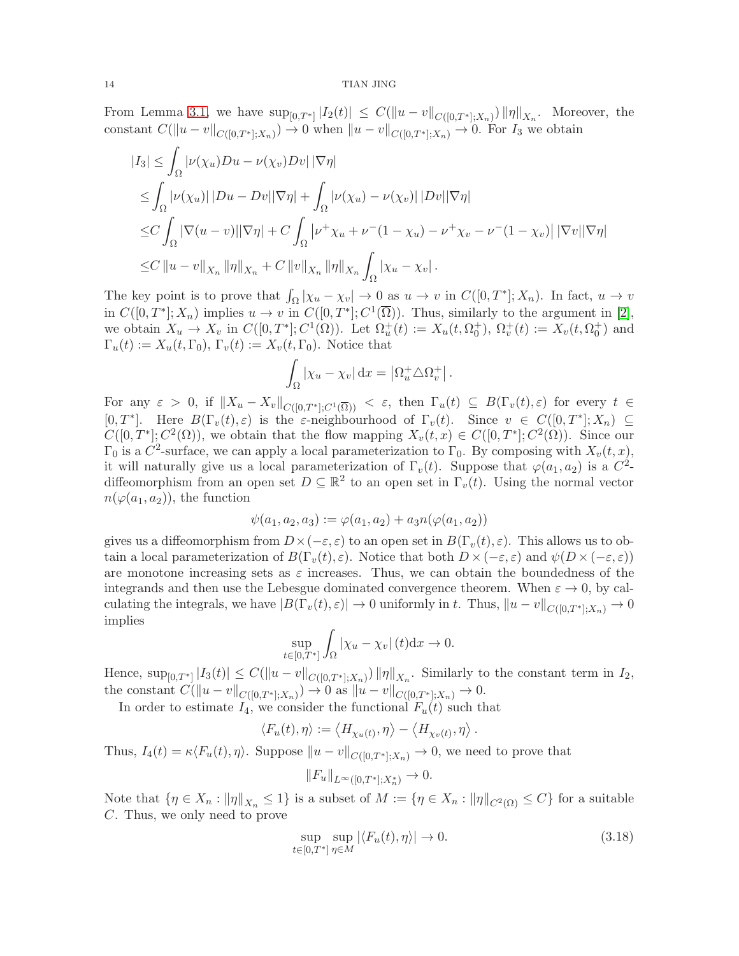#### 14 TIAN JING

From Lemma [3.1,](#page-10-0) we have  $\sup_{[0,T^*]} |I_2(t)| \leq C(||u-v||_{C([0,T^*];X_n)}) ||\eta||_{X_n}$ . Moreover, the constant  $C(\|u-v\|_{C([0,T^*];X_n)}) \to 0$  when  $\|u-v\|_{C([0,T^*];X_n)} \to 0$ . For  $I_3$  we obtain

$$
\begin{aligned} |I_3| &\leq \int_{\Omega} |\nu(\chi_u)Du - \nu(\chi_v)Dv| \, |\nabla \eta| \\ &\leq \int_{\Omega} |\nu(\chi_u)| \, |Du - Dv| \, |\nabla \eta| + \int_{\Omega} |\nu(\chi_u) - \nu(\chi_v)| \, |Dv| \, |\nabla \eta| \\ &\leq C \int_{\Omega} |\nabla (u - v)| \, |\nabla \eta| + C \int_{\Omega} |\nu^+ \chi_u + \nu^-(1 - \chi_u) - \nu^+ \chi_v - \nu^-(1 - \chi_v)| \, |\nabla v| \, |\nabla \eta| \\ &\leq C \, \|u - v\|_{X_n} \, \|\eta\|_{X_n} + C \, \|v\|_{X_n} \, \|\eta\|_{X_n} \int_{\Omega} |\chi_u - \chi_v| \, . \end{aligned}
$$

The key point is to prove that  $\int_{\Omega} |\chi_u - \chi_v| \to 0$  as  $u \to v$  in  $C([0,T^*];X_n)$ . In fact,  $u \to v$ in  $C([0,T^*];X_n)$  implies  $u \to v$  in  $C([0,T^*];C^1(\overline{\Omega}))$ . Thus, similarly to the argument in [\[2\]](#page-24-1), we obtain  $X_u \to X_v$  in  $C([0,T^*]; C^1(\Omega))$ . Let  $\Omega_u^+(t) := X_u(t, \Omega_0^+), \Omega_v^+(t) := X_v(t, \Omega_0^+)$  and  $\Gamma_u(t) := X_u(t, \Gamma_0), \Gamma_v(t) := X_v(t, \Gamma_0).$  Notice that

$$
\int_{\Omega} |\chi_u - \chi_v| \,dx = |\Omega_u^+ \triangle \Omega_v^+|.
$$

For any  $\varepsilon > 0$ , if  $||X_u - X_v||_{C([0,T^*];C^1(\overline{\Omega}))} < \varepsilon$ , then  $\Gamma_u(t) \subseteq B(\Gamma_v(t), \varepsilon)$  for every  $t \in$ [0, T<sup>\*</sup>]. Here  $B(\Gamma_v(t),\varepsilon)$  is the  $\varepsilon$ -neighbourhood of  $\Gamma_v(t)$ . Since  $v \in C([0,T^*];X_n) \subseteq$  $C([0,T^*];C^2(\Omega))$ , we obtain that the flow mapping  $X_v(t,x) \in C([0,T^*];C^2(\Omega))$ . Since our  $\Gamma_0$  is a  $C^2$ -surface, we can apply a local parameterization to  $\Gamma_0$ . By composing with  $X_v(t, x)$ , it will naturally give us a local parameterization of  $\Gamma_v(t)$ . Suppose that  $\varphi(a_1, a_2)$  is a  $C^2$ diffeomorphism from an open set  $D \subseteq \mathbb{R}^2$  to an open set in  $\Gamma_v(t)$ . Using the normal vector  $n(\varphi(a_1, a_2))$ , the function

$$
\psi(a_1, a_2, a_3) := \varphi(a_1, a_2) + a_3 n(\varphi(a_1, a_2))
$$

gives us a diffeomorphism from  $D\times(-\varepsilon,\varepsilon)$  to an open set in  $B(\Gamma_v(t),\varepsilon)$ . This allows us to obtain a local parameterization of  $B(\Gamma_v(t), \varepsilon)$ . Notice that both  $D \times (-\varepsilon, \varepsilon)$  and  $\psi(D \times (-\varepsilon, \varepsilon))$ are monotone increasing sets as  $\varepsilon$  increases. Thus, we can obtain the boundedness of the integrands and then use the Lebesgue dominated convergence theorem. When  $\varepsilon \to 0$ , by calculating the integrals, we have  $|B(\Gamma_v(t), \varepsilon)| \to 0$  uniformly in t. Thus,  $||u - v||_{C([0,T^*];X_n)} \to 0$ implies

$$
\sup_{t\in[0,T^*]} \int_{\Omega} |\chi_u - \chi_v| \left(t\right) \mathrm{d}x \to 0.
$$

Hence,  $\sup_{[0,T^*]}|I_3(t)| \leq C(||u-v||_{C([0,T^*];X_n)}) ||\eta||_{X_n}$ . Similarly to the constant term in  $I_2$ , the constant  $C(\|u-v\|_{C([0,T^*];X_n)}) \to 0$  as  $\|u-v\|_{C([0,T^*];X_n)} \to 0$ .

In order to estimate  $I_4$ , we consider the functional  $F_u(t)$  such that

$$
\langle F_u(t),\eta\rangle:=\left\langle H_{\chi_u(t)},\eta\right\rangle-\left\langle H_{\chi_v(t)},\eta\right\rangle.
$$

Thus,  $I_4(t) = \kappa \langle F_u(t), \eta \rangle$ . Suppose  $||u - v||_{C([0,T^*];X_n)} \to 0$ , we need to prove that

$$
||F_u||_{L^{\infty}([0,T^*];X_n^*)} \to 0.
$$

Note that  $\{\eta \in X_n : ||\eta||_{X_n} \leq 1\}$  is a subset of  $M := \{\eta \in X_n : ||\eta||_{C^2(\Omega)} \leq C\}$  for a suitable C. Thus, we only need to prove

<span id="page-13-0"></span>
$$
\sup_{t \in [0,T^*]} \sup_{\eta \in M} |\langle F_u(t), \eta \rangle| \to 0. \tag{3.18}
$$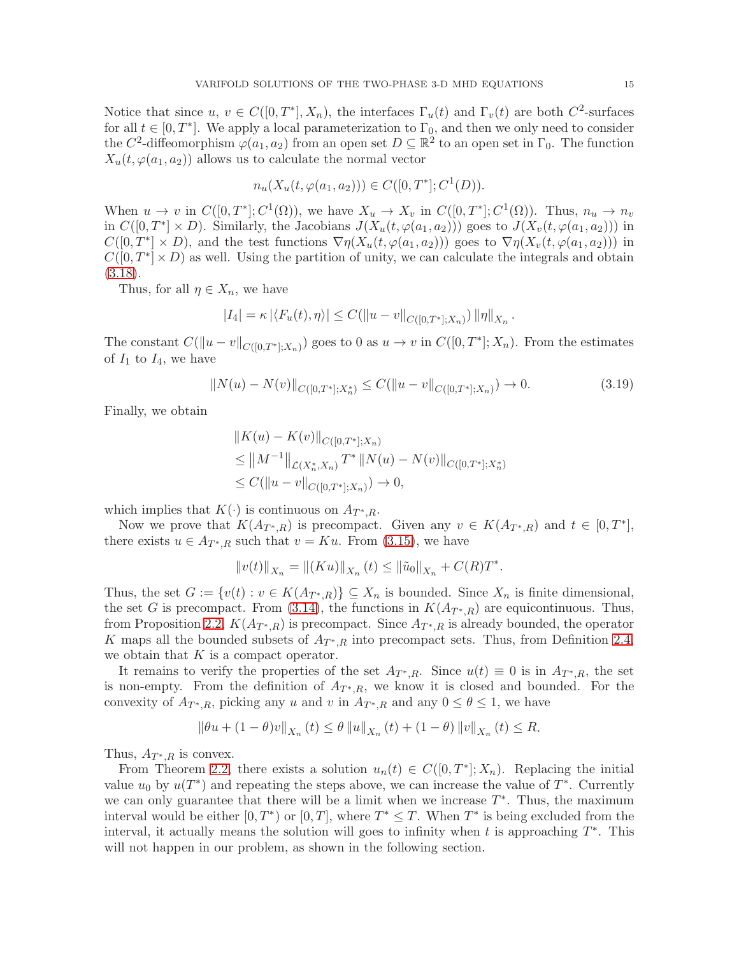Notice that since  $u, v \in C([0,T^*], X_n)$ , the interfaces  $\Gamma_u(t)$  and  $\Gamma_v(t)$  are both  $C^2$ -surfaces for all  $t \in [0, T^*]$ . We apply a local parameterization to  $\Gamma_0$ , and then we only need to consider the C<sup>2</sup>-diffeomorphism  $\varphi(a_1, a_2)$  from an open set  $D \subseteq \mathbb{R}^2$  to an open set in  $\Gamma_0$ . The function  $X_u(t, \varphi(a_1, a_2))$  allows us to calculate the normal vector

$$
n_u(X_u(t, \varphi(a_1, a_2))) \in C([0, T^*]; C^1(D)).
$$

When  $u \to v$  in  $C([0,T^*]; C^1(\Omega))$ , we have  $X_u \to X_v$  in  $C([0,T^*]; C^1(\Omega))$ . Thus,  $n_u \to n_v$ in  $C([0,T^*] \times D)$ . Similarly, the Jacobians  $J(X_u(t,\varphi(a_1,a_2)))$  goes to  $J(X_v(t,\varphi(a_1,a_2)))$  in  $C([0,T^*] \times D)$ , and the test functions  $\nabla \eta(X_u(t, \varphi(a_1, a_2)))$  goes to  $\nabla \eta(X_v(t, \varphi(a_1, a_2)))$  in  $C([0,T^*] \times D)$  as well. Using the partition of unity, we can calculate the integrals and obtain [\(3.18\)](#page-13-0).

Thus, for all  $\eta \in X_n$ , we have

$$
|I_4| = \kappa |\langle F_u(t), \eta \rangle| \leq C(\|u-v\|_{C([0,T^*];X_n)}) \|\eta\|_{X_n}
$$

The constant  $C(\|u-v\|_{C([0,T^*];X_n)})$  goes to 0 as  $u \to v$  in  $C([0,T^*];X_n)$ . From the estimates of  $I_1$  to  $I_4$ , we have

$$
||N(u) - N(v)||_{C([0,T^*];X_n^*)} \le C(||u - v||_{C([0,T^*];X_n)}) \to 0.
$$
\n(3.19)

.

Finally, we obtain

$$
||K(u) - K(v)||_{C([0,T^*];X_n)}
$$
  
\n
$$
\leq ||M^{-1}||_{\mathcal{L}(X_n^*,X_n)} T^* ||N(u) - N(v)||_{C([0,T^*];X_n^*)}
$$
  
\n
$$
\leq C(||u - v||_{C([0,T^*];X_n)}) \to 0,
$$

which implies that  $K(\cdot)$  is continuous on  $A_{T^*,R}$ .

Now we prove that  $K(A_{T^*,R})$  is precompact. Given any  $v \in K(A_{T^*,R})$  and  $t \in [0,T^*],$ there exists  $u \in A_{T^*,R}$  such that  $v = Ku$ . From [\(3.15\)](#page-11-2), we have

$$
||v(t)||_{X_n} = ||(Ku)||_{X_n} (t) \le ||\tilde{u}_0||_{X_n} + C(R)T^*.
$$

Thus, the set  $G := \{v(t) : v \in K(A_{T^*,R})\} \subseteq X_n$  is bounded. Since  $X_n$  is finite dimensional, the set G is precompact. From [\(3.14\)](#page-11-3), the functions in  $K(A_{T^*,R})$  are equicontinuous. Thus, from Proposition [2.2,](#page-5-1)  $K(A_{T^*,R})$  is precompact. Since  $A_{T^*,R}$  is already bounded, the operator K maps all the bounded subsets of  $A_{T^*,R}$  into precompact sets. Thus, from Definition [2.4,](#page-5-2) we obtain that  $K$  is a compact operator.

It remains to verify the properties of the set  $A_{T^*,R}$ . Since  $u(t) \equiv 0$  is in  $A_{T^*,R}$ , the set is non-empty. From the definition of  $A_{T^*,R}$ , we know it is closed and bounded. For the convexity of  $A_{T^*,R}$ , picking any u and v in  $A_{T^*,R}$  and any  $0 \leq \theta \leq 1$ , we have

$$
\|\theta u + (1 - \theta)v\|_{X_n}(t) \le \theta \|u\|_{X_n}(t) + (1 - \theta) \|v\|_{X_n}(t) \le R.
$$

Thus,  $A_{T^*,R}$  is convex.

From Theorem [2.2,](#page-5-3) there exists a solution  $u_n(t) \in C([0,T^*];X_n)$ . Replacing the initial value  $u_0$  by  $u(T^*)$  and repeating the steps above, we can increase the value of  $T^*$ . Currently we can only guarantee that there will be a limit when we increase  $T^*$ . Thus, the maximum interval would be either  $[0, T^*)$  or  $[0, T]$ , where  $T^* \leq T$ . When  $T^*$  is being excluded from the interval, it actually means the solution will goes to infinity when t is approaching  $T^*$ . This will not happen in our problem, as shown in the following section.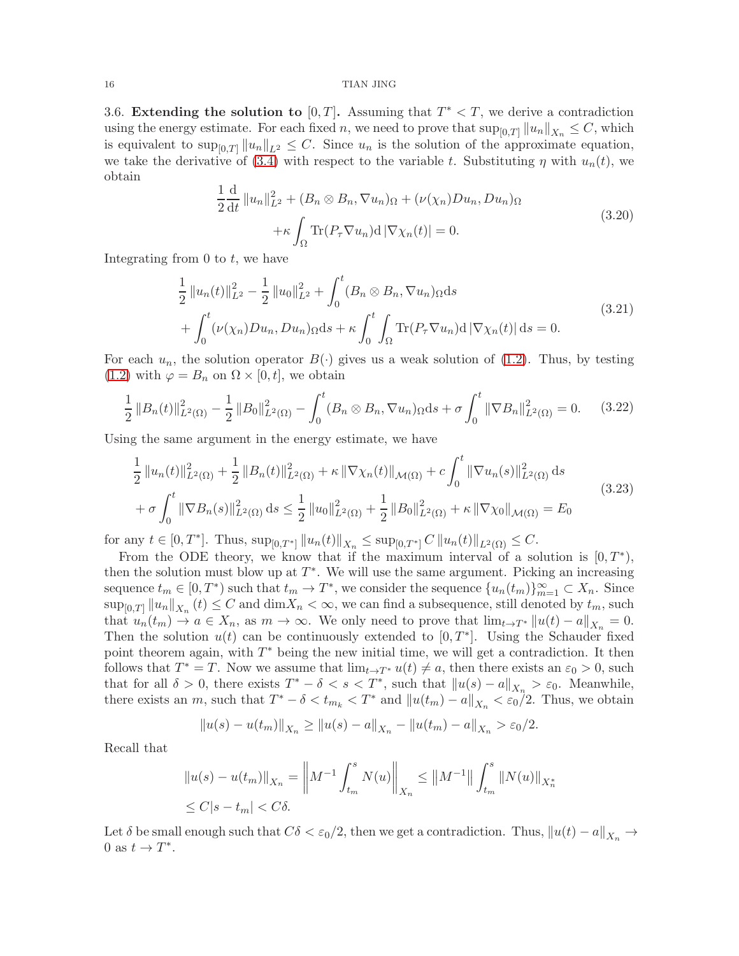#### 16 TIAN JING

3.6. Extending the solution to  $[0, T]$ . Assuming that  $T^* < T$ , we derive a contradiction using the energy estimate. For each fixed n, we need to prove that  $\sup_{[0,T]} ||u_n||_{X_n} \leq C$ , which is equivalent to  $\sup_{[0,T]} ||u_n||_{L^2} \leq C$ . Since  $u_n$  is the solution of the approximate equation, we take the derivative of [\(3.4\)](#page-7-0) with respect to the variable t. Substituting  $\eta$  with  $u_n(t)$ , we obtain 1

$$
\frac{1}{2}\frac{d}{dt}\|u_n\|_{L^2}^2 + (B_n \otimes B_n, \nabla u_n)_{\Omega} + (\nu(\chi_n)Du_n, Du_n)_{\Omega}
$$

$$
+ \kappa \int_{\Omega} \text{Tr}(P_\tau \nabla u_n) d|\nabla \chi_n(t)| = 0.
$$
\n(3.20)

Integrating from  $0$  to  $t$ , we have

<span id="page-15-0"></span>
$$
\frac{1}{2} ||u_n(t)||_{L^2}^2 - \frac{1}{2} ||u_0||_{L^2}^2 + \int_0^t (B_n \otimes B_n, \nabla u_n) \Omega ds \n+ \int_0^t (\nu(\chi_n) Du_n, Du_n) \Omega ds + \kappa \int_0^t \int_{\Omega} \text{Tr}(P_\tau \nabla u_n) d |\nabla \chi_n(t)| ds = 0.
$$
\n(3.21)

For each  $u_n$ , the solution operator  $B(\cdot)$  gives us a weak solution of [\(1.2\)](#page-0-2). Thus, by testing  $(1.2)$  with  $\varphi = B_n$  on  $\Omega \times [0, t]$ , we obtain

<span id="page-15-1"></span>
$$
\frac{1}{2} ||B_n(t)||_{L^2(\Omega)}^2 - \frac{1}{2} ||B_0||_{L^2(\Omega)}^2 - \int_0^t (B_n \otimes B_n, \nabla u_n) \Omega ds + \sigma \int_0^t ||\nabla B_n||_{L^2(\Omega)}^2 = 0. \tag{3.22}
$$

Using the same argument in the energy estimate, we have

$$
\frac{1}{2} ||u_n(t)||_{L^2(\Omega)}^2 + \frac{1}{2} ||B_n(t)||_{L^2(\Omega)}^2 + \kappa ||\nabla \chi_n(t)||_{\mathcal{M}(\Omega)} + c \int_0^t ||\nabla u_n(s)||_{L^2(\Omega)}^2 ds
$$
\n
$$
+ \sigma \int_0^t ||\nabla B_n(s)||_{L^2(\Omega)}^2 ds \le \frac{1}{2} ||u_0||_{L^2(\Omega)}^2 + \frac{1}{2} ||B_0||_{L^2(\Omega)}^2 + \kappa ||\nabla \chi_0||_{\mathcal{M}(\Omega)} = E_0
$$
\n(3.23)

for any  $t \in [0, T^*]$ . Thus,  $\sup_{[0,T^*]} ||u_n(t)||_{X_n} \leq \sup_{[0,T^*]} C ||u_n(t)||_{L^2(\Omega)} \leq C$ .

From the ODE theory, we know that if the maximum interval of a solution is  $[0, T^*),$ then the solution must blow up at  $T^*$ . We will use the same argument. Picking an increasing sequence  $t_m \in [0, T^*)$  such that  $t_m \to T^*$ , we consider the sequence  $\{u_n(t_m)\}_{m=1}^{\infty} \subset X_n$ . Since  $\sup_{[0,T]} \|u_n\|_{X_n}$   $(t) \leq C$  and  $\dim X_n < \infty$ , we can find a subsequence, still denoted by  $t_m$ , such that  $u_n(t_m) \to a \in X_n$ , as  $m \to \infty$ . We only need to prove that  $\lim_{t \to T^*} ||u(t) - a||_{X_n} = 0$ . Then the solution  $u(t)$  can be continuously extended to  $[0, T^*]$ . Using the Schauder fixed point theorem again, with  $T^*$  being the new initial time, we will get a contradiction. It then follows that  $T^* = T$ . Now we assume that  $\lim_{t \to T^*} u(t) \neq a$ , then there exists an  $\varepsilon_0 > 0$ , such that for all  $\delta > 0$ , there exists  $T^* - \delta < s < T^*$ , such that  $||u(s) - a||_{X_n} > \varepsilon_0$ . Meanwhile, there exists an m, such that  $T^* - \delta < t_{m_k} < T^*$  and  $||u(t_m) - a||_{X_n} < \varepsilon_0/2$ . Thus, we obtain

$$
||u(s) - u(t_m)||_{X_n} \ge ||u(s) - a||_{X_n} - ||u(t_m) - a||_{X_n} > \varepsilon_0/2.
$$

Recall that

$$
||u(s) - u(t_m)||_{X_n} = ||M^{-1} \int_{t_m}^s N(u)||_{X_n} \le ||M^{-1}|| \int_{t_m}^s ||N(u)||_{X_n^*}
$$
  

$$
\le C|s - t_m| < C\delta.
$$

Let  $\delta$  be small enough such that  $C\delta < \epsilon_0/2$ , then we get a contradiction. Thus,  $\|u(t) - a\|_{X_n} \to$ 0 as  $t \to T^*$ .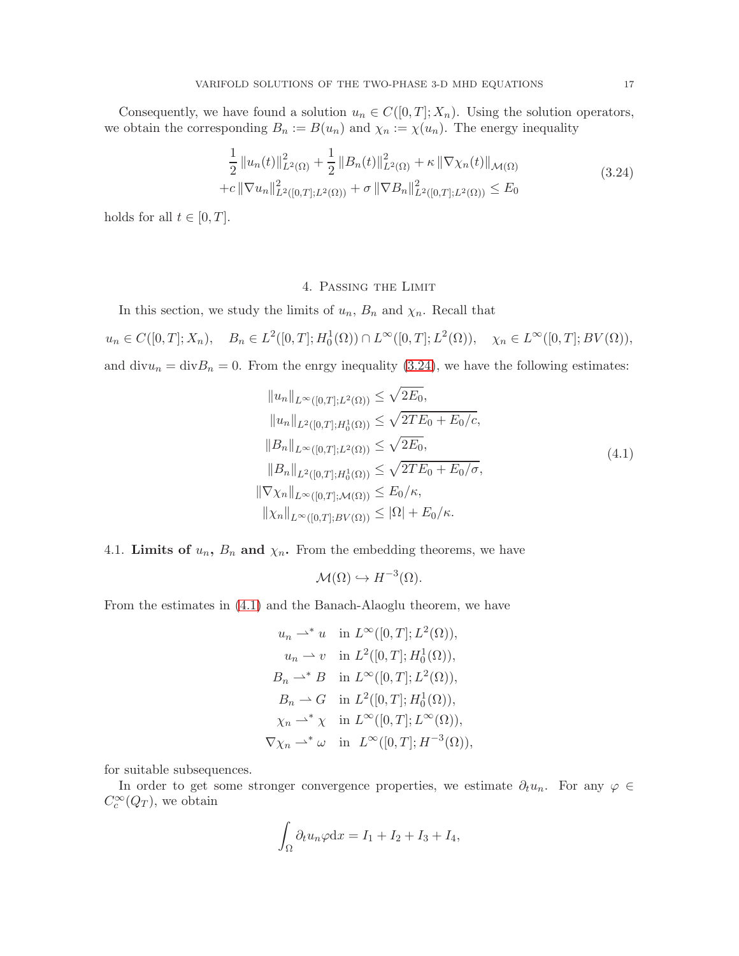Consequently, we have found a solution  $u_n \in C([0,T]; X_n)$ . Using the solution operators, we obtain the corresponding  $B_n := B(u_n)$  and  $\chi_n := \chi(u_n)$ . The energy inequality

<span id="page-16-1"></span>
$$
\frac{1}{2} ||u_n(t)||_{L^2(\Omega)}^2 + \frac{1}{2} ||B_n(t)||_{L^2(\Omega)}^2 + \kappa ||\nabla \chi_n(t)||_{\mathcal{M}(\Omega)} + c ||\nabla u_n||_{L^2([0,T];L^2(\Omega))}^2 + \sigma ||\nabla B_n||_{L^2([0,T];L^2(\Omega))}^2 \le E_0
$$
\n(3.24)

holds for all  $t \in [0, T]$ .

# 4. Passing the Limit

<span id="page-16-0"></span>In this section, we study the limits of  $u_n$ ,  $B_n$  and  $\chi_n$ . Recall that

 $u_n \in C([0,T]; X_n), B_n \in L^2([0,T]; H_0^1(\Omega)) \cap L^{\infty}([0,T]; L^2(\Omega)), \quad \chi_n \in L^{\infty}([0,T]; BV(\Omega)),$ and  $divu_n = divB_n = 0$ . From the enrgy inequality [\(3.24\)](#page-16-1), we have the following estimates:

<span id="page-16-2"></span>
$$
||u_n||_{L^{\infty}([0,T];L^2(\Omega))} \le \sqrt{2E_0},
$$
  
\n
$$
||u_n||_{L^2([0,T];H_0^1(\Omega))} \le \sqrt{2TE_0 + E_0/c},
$$
  
\n
$$
||B_n||_{L^{\infty}([0,T];L^2(\Omega))} \le \sqrt{2E_0},
$$
  
\n
$$
||B_n||_{L^2([0,T];H_0^1(\Omega))} \le \sqrt{2TE_0 + E_0/\sigma},
$$
  
\n
$$
||\nabla \chi_n||_{L^{\infty}([0,T];\mathcal{M}(\Omega))} \le E_0/\kappa,
$$
  
\n
$$
||\chi_n||_{L^{\infty}([0,T];BV(\Omega))} \le |\Omega| + E_0/\kappa.
$$
  
\n(4.1)

4.1. Limits of  $u_n$ ,  $B_n$  and  $\chi_n$ . From the embedding theorems, we have

$$
\mathcal{M}(\Omega) \hookrightarrow H^{-3}(\Omega).
$$

From the estimates in [\(4.1\)](#page-16-2) and the Banach-Alaoglu theorem, we have

$$
u_n \rightharpoonup^* u \quad \text{in } L^{\infty}([0, T]; L^2(\Omega)),
$$
  
\n
$$
u_n \rightharpoonup v \quad \text{in } L^2([0, T]; H_0^1(\Omega)),
$$
  
\n
$$
B_n \rightharpoonup^* B \quad \text{in } L^{\infty}([0, T]; L^2(\Omega)),
$$
  
\n
$$
B_n \rightharpoonup G \quad \text{in } L^2([0, T]; H_0^1(\Omega)),
$$
  
\n
$$
\chi_n \rightharpoonup^* \chi \quad \text{in } L^{\infty}([0, T]; L^{\infty}(\Omega)),
$$
  
\n
$$
\nabla \chi_n \rightharpoonup^* \omega \quad \text{in } L^{\infty}([0, T]; H^{-3}(\Omega)),
$$

for suitable subsequences.

In order to get some stronger convergence properties, we estimate  $\partial_t u_n$ . For any  $\varphi \in$  $C_c^{\infty}(Q_T)$ , we obtain

$$
\int_{\Omega} \partial_t u_n \varphi \mathrm{d}x = I_1 + I_2 + I_3 + I_4,
$$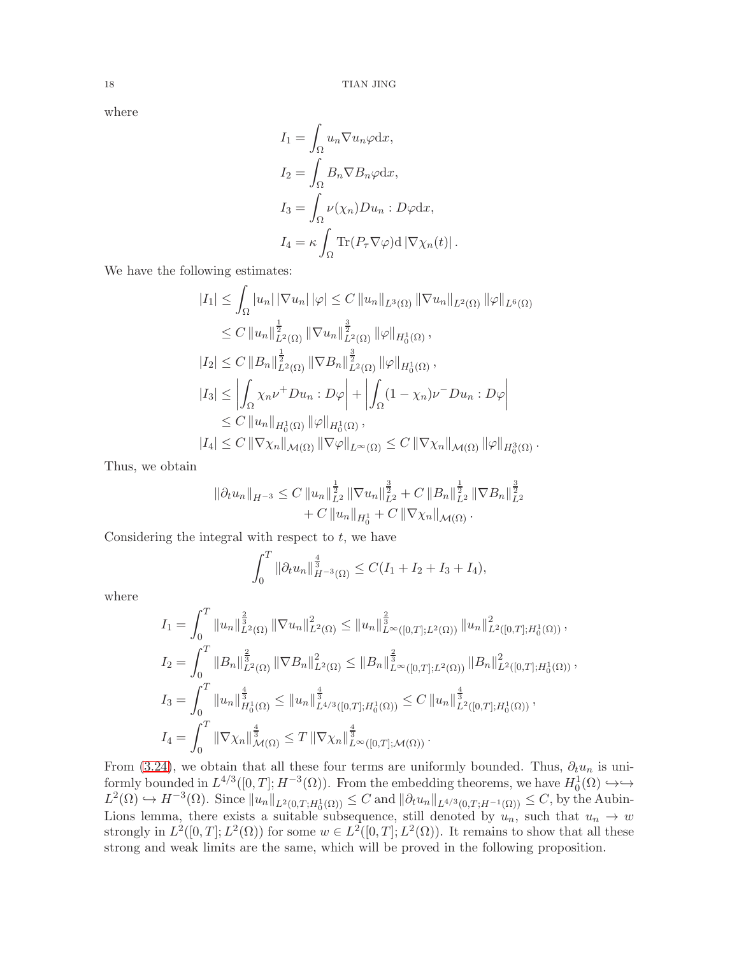where

$$
I_1 = \int_{\Omega} u_n \nabla u_n \varphi \, dx,
$$
  
\n
$$
I_2 = \int_{\Omega} B_n \nabla B_n \varphi \, dx,
$$
  
\n
$$
I_3 = \int_{\Omega} \nu(\chi_n) D u_n : D \varphi \, dx,
$$
  
\n
$$
I_4 = \kappa \int_{\Omega} \text{Tr}(P_\tau \nabla \varphi) \, d |\nabla \chi_n(t)|.
$$

We have the following estimates:

$$
|I_{1}| \leq \int_{\Omega} |u_{n}| |\nabla u_{n}| |\varphi| \leq C ||u_{n}||_{L^{3}(\Omega)} ||\nabla u_{n}||_{L^{2}(\Omega)} ||\varphi||_{L^{6}(\Omega)}
$$
  
\n
$$
\leq C ||u_{n}||_{L^{2}(\Omega)}^{\frac{1}{2}} ||\nabla u_{n}||_{L^{2}(\Omega)}^{\frac{3}{2}} ||\varphi||_{H_{0}^{1}(\Omega)},
$$
  
\n
$$
|I_{2}| \leq C ||B_{n}||_{L^{2}(\Omega)}^{\frac{1}{2}} ||\nabla B_{n}||_{L^{2}(\Omega)}^{\frac{3}{2}} ||\varphi||_{H_{0}^{1}(\Omega)},
$$
  
\n
$$
|I_{3}| \leq \left| \int_{\Omega} \chi_{n} \nu^{+} Du_{n} : D\varphi \right| + \left| \int_{\Omega} (1 - \chi_{n}) \nu^{-} Du_{n} : D\varphi \right|
$$
  
\n
$$
\leq C ||u_{n}||_{H_{0}^{1}(\Omega)} ||\varphi||_{H_{0}^{1}(\Omega)},
$$
  
\n
$$
|I_{4}| \leq C ||\nabla \chi_{n}||_{\mathcal{M}(\Omega)} ||\nabla \varphi||_{L^{\infty}(\Omega)} \leq C ||\nabla \chi_{n}||_{\mathcal{M}(\Omega)} ||\varphi||_{H_{0}^{3}(\Omega)}.
$$

Thus, we obtain

$$
\|\partial_t u_n\|_{H^{-3}} \leq C \|u_n\|_{L^2}^{\frac{1}{2}} \|\nabla u_n\|_{L^2}^{\frac{3}{2}} + C \|B_n\|_{L^2}^{\frac{1}{2}} \|\nabla B_n\|_{L^2}^{\frac{3}{2}} + C \|u_n\|_{H_0^1} + C \|\nabla \chi_n\|_{\mathcal{M}(\Omega)}.
$$

Considering the integral with respect to  $t$ , we have

$$
\int_0^T \|\partial_t u_n\|_{H^{-3}(\Omega)}^{\frac{4}{3}} \le C(I_1 + I_2 + I_3 + I_4),
$$

where

$$
I_{1} = \int_{0}^{T} ||u_{n}||_{L^{2}(\Omega)}^{\frac{2}{3}} ||\nabla u_{n}||_{L^{2}(\Omega)}^{2} \leq ||u_{n}||_{L^{\infty}([0,T];L^{2}(\Omega))}^{\frac{2}{3}} ||u_{n}||_{L^{2}([0,T];H_{0}^{1}(\Omega))}^{2},
$$
  
\n
$$
I_{2} = \int_{0}^{T} ||B_{n}||_{L^{2}(\Omega)}^{\frac{2}{3}} ||\nabla B_{n}||_{L^{2}(\Omega)}^{2} \leq ||B_{n}||_{L^{\infty}([0,T];L^{2}(\Omega))}^{\frac{2}{3}} ||B_{n}||_{L^{2}([0,T];H_{0}^{1}(\Omega))}^{2},
$$
  
\n
$$
I_{3} = \int_{0}^{T} ||u_{n}||_{H_{0}^{1}(\Omega)}^{\frac{4}{3}} \leq ||u_{n}||_{L^{4/3}([0,T];H_{0}^{1}(\Omega))}^{\frac{4}{3}} \leq C ||u_{n}||_{L^{2}([0,T];H_{0}^{1}(\Omega))}^{\frac{4}{3}},
$$
  
\n
$$
I_{4} = \int_{0}^{T} ||\nabla \chi_{n}||_{\mathcal{M}(\Omega)}^{\frac{4}{3}} \leq T ||\nabla \chi_{n}||_{L^{\infty}([0,T];\mathcal{M}(\Omega))}^{\frac{4}{3}}.
$$

From [\(3.24\)](#page-16-1), we obtain that all these four terms are uniformly bounded. Thus,  $\partial_t u_n$  is uniformly bounded in  $L^{4/3}([0,T];H^{-3}(\Omega))$ . From the embedding theorems, we have  $H_0^1(\Omega) \hookrightarrow \hookrightarrow$  $L^2(\Omega) \hookrightarrow H^{-3}(\Omega)$ . Since  $||u_n||_{L^2(0,T;H_0^1(\Omega))} \leq C$  and  $||\partial_t u_n||_{L^{4/3}(0,T;H^{-1}(\Omega))} \leq C$ , by the Aubin-Lions lemma, there exists a suitable subsequence, still denoted by  $u_n$ , such that  $u_n \to w$ strongly in  $L^2([0,T];L^2(\Omega))$  for some  $w \in L^2([0,T];L^2(\Omega))$ . It remains to show that all these strong and weak limits are the same, which will be proved in the following proposition.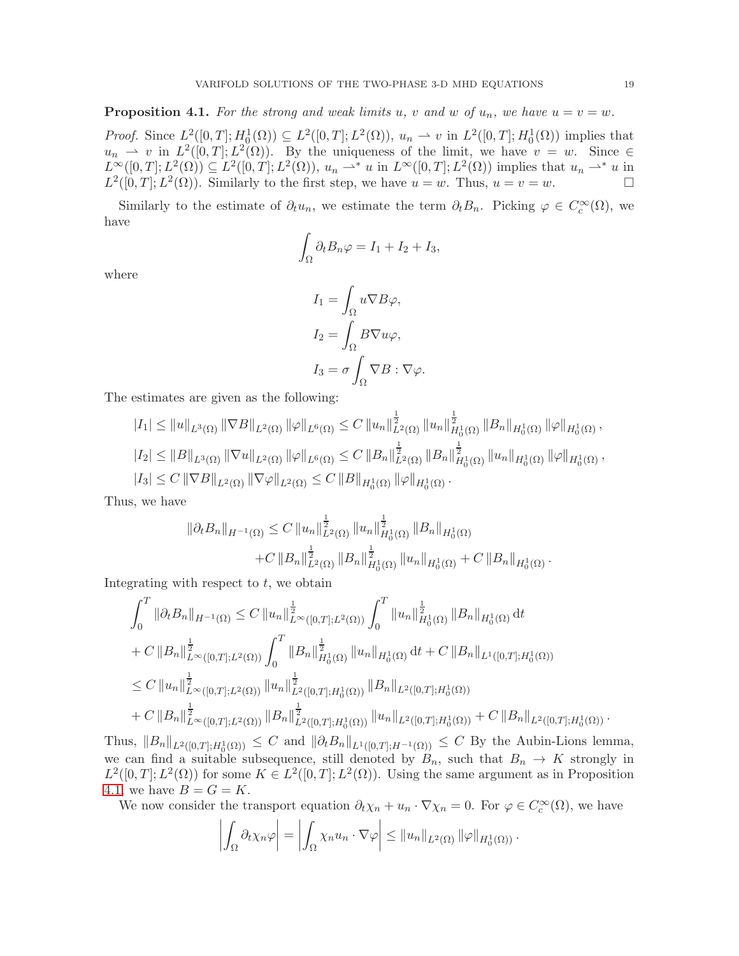<span id="page-18-0"></span>**Proposition 4.1.** For the strong and weak limits u, v and w of  $u_n$ , we have  $u = v = w$ .

*Proof.* Since  $L^2([0,T];H_0^1(\Omega)) \subseteq L^2([0,T];L^2(\Omega))$ ,  $u_n \rightharpoonup v$  in  $L^2([0,T];H_0^1(\Omega))$  implies that  $u_n \rightharpoonup v$  in  $L^2([0,T]; L^2(\Omega))$ . By the uniqueness of the limit, we have  $v = w$ . Since  $\in$  $L^{\infty}([0,T];L^2(\Omega)) \subseteq L^2([0,T];L^2(\Omega)),$   $u_n \rightharpoonup^* u$  in  $L^{\infty}([0,T];L^2(\Omega))$  implies that  $u_n \rightharpoonup^* u$  in  $L^2([0,T];L^2(\Omega))$ . Similarly to the first step, we have  $u = w$ . Thus,  $u = v = w$ .

Similarly to the estimate of  $\partial_t u_n$ , we estimate the term  $\partial_t B_n$ . Picking  $\varphi \in C_c^{\infty}(\Omega)$ , we have

$$
\int_{\Omega} \partial_t B_n \varphi = I_1 + I_2 + I_3,
$$

where

$$
I_1 = \int_{\Omega} u \nabla B \varphi,
$$
  
\n
$$
I_2 = \int_{\Omega} B \nabla u \varphi,
$$
  
\n
$$
I_3 = \sigma \int_{\Omega} \nabla B : \nabla \varphi.
$$

The estimates are given as the following:

$$
|I_{1}| \leq ||u||_{L^{3}(\Omega)} ||\nabla B||_{L^{2}(\Omega)} ||\varphi||_{L^{6}(\Omega)} \leq C ||u_{n}||_{L^{2}(\Omega)}^{\frac{1}{2}} ||u_{n}||_{H_{0}^{1}(\Omega)}^{\frac{1}{2}} ||B_{n}||_{H_{0}^{1}(\Omega)} ||\varphi||_{H_{0}^{1}(\Omega)},
$$
  
\n
$$
|I_{2}| \leq ||B||_{L^{3}(\Omega)} ||\nabla u||_{L^{2}(\Omega)} ||\varphi||_{L^{6}(\Omega)} \leq C ||B_{n}||_{L^{2}(\Omega)}^{\frac{1}{2}} ||B_{n}||_{H_{0}^{1}(\Omega)}^{\frac{1}{2}} ||u_{n}||_{H_{0}^{1}(\Omega)} ||\varphi||_{H_{0}^{1}(\Omega)},
$$
  
\n
$$
|I_{3}| \leq C ||\nabla B||_{L^{2}(\Omega)} ||\nabla \varphi||_{L^{2}(\Omega)} \leq C ||B||_{H_{0}^{1}(\Omega)} ||\varphi||_{H_{0}^{1}(\Omega)}.
$$

Thus, we have

$$
\|\partial_t B_n\|_{H^{-1}(\Omega)} \leq C \|u_n\|_{L^2(\Omega)}^{\frac{1}{2}} \|u_n\|_{H_0^1(\Omega)}^{\frac{1}{2}} \|B_n\|_{H_0^1(\Omega)} + C \|B_n\|_{L^2(\Omega)}^{\frac{1}{2}} \|B_n\|_{H_0^1(\Omega)}^{\frac{1}{2}} \|u_n\|_{H_0^1(\Omega)} + C \|B_n\|_{H_0^1(\Omega)}.
$$

Integrating with respect to  $t$ , we obtain

$$
\int_{0}^{T} \|\partial_{t}B_{n}\|_{H^{-1}(\Omega)} \leq C \left\|u_{n}\right\|_{L^{\infty}([0,T];L^{2}(\Omega))}^{\frac{1}{2}} \int_{0}^{T} \left\|u_{n}\right\|_{H_{0}^{1}(\Omega)}^{\frac{1}{2}} \left\|B_{n}\right\|_{H_{0}^{1}(\Omega)} \mathrm{d}t \n+ C \left\|B_{n}\right\|_{L^{\infty}([0,T];L^{2}(\Omega))}^{\frac{1}{2}} \int_{0}^{T} \left\|B_{n}\right\|_{H_{0}^{1}(\Omega)}^{\frac{1}{2}} \left\|u_{n}\right\|_{H_{0}^{1}(\Omega)} \mathrm{d}t + C \left\|B_{n}\right\|_{L^{1}([0,T];H_{0}^{1}(\Omega))} \right\}\n\leq C \left\|u_{n}\right\|_{L^{\infty}([0,T];L^{2}(\Omega))}^{\frac{1}{2}} \left\|u_{n}\right\|_{L^{2}([0,T];H_{0}^{1}(\Omega))}^{\frac{1}{2}} \left\|B_{n}\right\|_{L^{2}([0,T];H_{0}^{1}(\Omega))} \right\}\n+ C \left\|B_{n}\right\|_{L^{\infty}([0,T];L^{2}(\Omega))}^{\frac{1}{2}} \left\|B_{n}\right\|_{L^{2}([0,T];H_{0}^{1}(\Omega))}^{\frac{1}{2}} \left\|u_{n}\right\|_{L^{2}([0,T];H_{0}^{1}(\Omega))}^{\frac{1}{2}} + C \left\|B_{n}\right\|_{L^{2}([0,T];H_{0}^{1}(\Omega))}.
$$

Thus,  $||B_n||_{L^2([0,T];H_0^1(\Omega))} \leq C$  and  $||\partial_t B_n||_{L^1([0,T];H^{-1}(\Omega))} \leq C$  By the Aubin-Lions lemma, we can find a suitable subsequence, still denoted by  $B_n$ , such that  $B_n \to K$  strongly in  $L^2([0,T];L^2(\Omega))$  for some  $K \in L^2([0,T];L^2(\Omega))$ . Using the same argument as in Proposition [4.1,](#page-18-0) we have  $B = G = K$ .

We now consider the transport equation  $\partial_t \chi_n + u_n \cdot \nabla \chi_n = 0$ . For  $\varphi \in C_c^{\infty}(\Omega)$ , we have

$$
\left| \int_{\Omega} \partial_t \chi_n \varphi \right| = \left| \int_{\Omega} \chi_n u_n \cdot \nabla \varphi \right| \leq \left\| u_n \right\|_{L^2(\Omega)} \|\varphi\|_{H^1_0(\Omega)}.
$$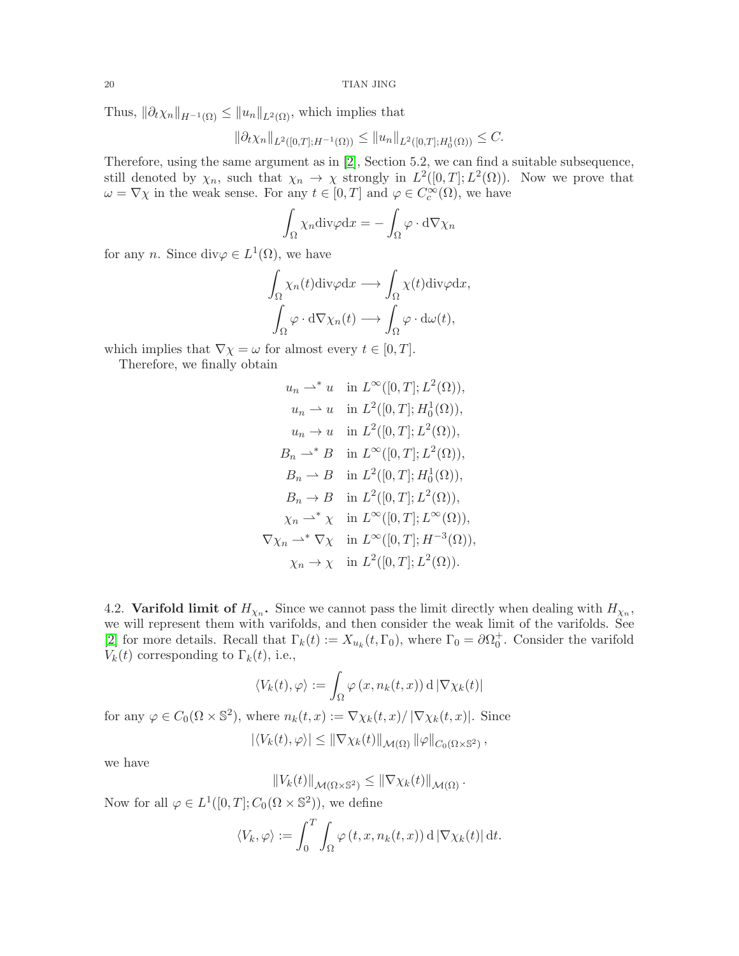Thus,  $\|\partial_t \chi_n\|_{H^{-1}(\Omega)} \leq \|u_n\|_{L^2(\Omega)}$ , which implies that

$$
\|\partial_t \chi_n\|_{L^2([0,T];H^{-1}(\Omega))} \le \|u_n\|_{L^2([0,T];H^1_0(\Omega))} \le C.
$$

Therefore, using the same argument as in [\[2\]](#page-24-1), Section 5.2, we can find a suitable subsequence, still denoted by  $\chi_n$ , such that  $\chi_n \to \chi$  strongly in  $L^2([0,T];L^2(\Omega))$ . Now we prove that  $\omega = \nabla \chi$  in the weak sense. For any  $t \in [0, T]$  and  $\varphi \in C_c^{\infty}(\Omega)$ , we have

$$
\int_{\Omega} \chi_n \mathrm{div}\varphi \mathrm{d}x = -\int_{\Omega} \varphi \cdot \mathrm{d}\nabla \chi_n
$$

for any *n*. Since div $\varphi \in L^1(\Omega)$ , we have

$$
\int_{\Omega} \chi_n(t) \text{div}\varphi \, dx \longrightarrow \int_{\Omega} \chi(t) \text{div}\varphi \, dx, \n\int_{\Omega} \varphi \cdot d\nabla \chi_n(t) \longrightarrow \int_{\Omega} \varphi \cdot d\omega(t),
$$

which implies that  $\nabla \chi = \omega$  for almost every  $t \in [0, T]$ .

Therefore, we finally obtain

$$
u_n \rightharpoonup^* u \quad \text{in } L^{\infty}([0, T]; L^2(\Omega)),
$$
  
\n
$$
u_n \rightharpoonup u \quad \text{in } L^2([0, T]; H_0^1(\Omega)),
$$
  
\n
$$
u_n \rightharpoonup u \quad \text{in } L^2([0, T]; L^2(\Omega)),
$$
  
\n
$$
B_n \rightharpoonup^* B \quad \text{in } L^{\infty}([0, T]; L^2(\Omega)),
$$
  
\n
$$
B_n \rightharpoonup B \quad \text{in } L^2([0, T]; H_0^1(\Omega)),
$$
  
\n
$$
B_n \rightharpoonup B \quad \text{in } L^2([0, T]; L^2(\Omega)),
$$
  
\n
$$
\chi_n \rightharpoonup^* \chi \quad \text{in } L^{\infty}([0, T]; L^{\infty}(\Omega)),
$$
  
\n
$$
\nabla \chi_n \rightharpoonup^* \nabla \chi \quad \text{in } L^{\infty}([0, T]; H^{-3}(\Omega)),
$$
  
\n
$$
\chi_n \rightharpoonup \chi \quad \text{in } L^2([0, T]; L^2(\Omega)).
$$

<span id="page-19-0"></span>4.2. Varifold limit of  $H_{\chi_n}$ . Since we cannot pass the limit directly when dealing with  $H_{\chi_n}$ , we will represent them with varifolds, and then consider the weak limit of the varifolds. See [\[2\]](#page-24-1) for more details. Recall that  $\Gamma_k(t) := X_{u_k}(t, \Gamma_0)$ , where  $\Gamma_0 = \partial \Omega_0^+$ . Consider the varifold  $V_k(t)$  corresponding to  $\Gamma_k(t)$ , i.e.,

$$
\langle V_k(t),\varphi\rangle:=\int_\Omega \varphi\left(x,n_k(t,x)\right)\mathrm{d}\, |\nabla \chi_k(t)|
$$

for any  $\varphi \in C_0(\Omega \times \mathbb{S}^2)$ , where  $n_k(t, x) := \nabla \chi_k(t, x) / |\nabla \chi_k(t, x)|$ . Since  $\frac{1}{\sqrt{1-\lambda}}$  (t)  $\lambda \geq 0$  (x) kortext (t) kvartext  $\lambda$ 

$$
|\langle V_k(t),\varphi\rangle| \leq \|\nabla \chi_k(t)\|_{\mathcal{M}(\Omega)} \|\varphi\|_{C_0(\Omega \times \mathbb{S}^2)},
$$

we have

$$
||V_k(t)||_{\mathcal{M}(\Omega\times\mathbb{S}^2)} \leq ||\nabla \chi_k(t)||_{\mathcal{M}(\Omega)}.
$$

Now for all  $\varphi \in L^1([0,T]; C_0(\Omega \times \mathbb{S}^2))$ , we define

$$
\langle V_k, \varphi \rangle := \int_0^T \int_{\Omega} \varphi(t, x, n_k(t, x)) \, d \left| \nabla \chi_k(t) \right| dt.
$$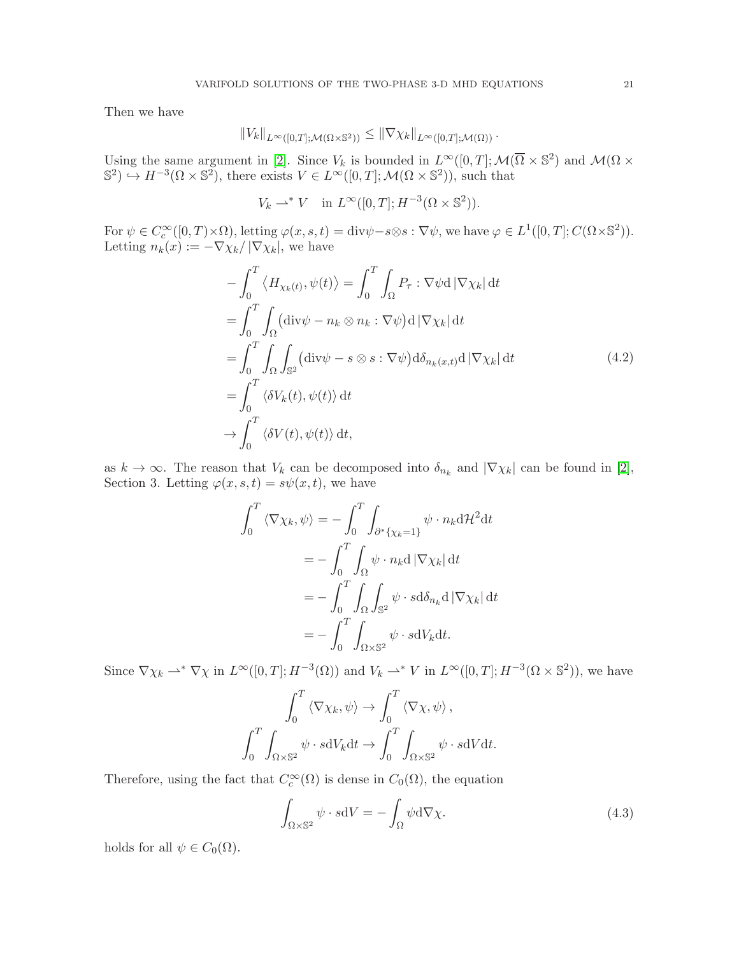Then we have

$$
||V_k||_{L^{\infty}([0,T];\mathcal{M}(\Omega\times\mathbb{S}^2))}\leq ||\nabla \chi_k||_{L^{\infty}([0,T];\mathcal{M}(\Omega))}.
$$

Using the same argument in [\[2\]](#page-24-1). Since  $V_k$  is bounded in  $L^{\infty}([0,T];\mathcal{M}(\overline{\Omega}\times\mathbb{S}^2))$  and  $\mathcal{M}(\Omega\times\mathbb{S}^2)$  $\mathbb{S}^2$   $\rightarrow$   $H^{-3}(\Omega \times \mathbb{S}^2)$ , there exists  $V \in L^{\infty}([0,T];\mathcal{M}(\Omega \times \mathbb{S}^2))$ , such that

$$
V_k \rightharpoonup^* V \quad \text{in } L^\infty([0,T]; H^{-3}(\Omega \times \mathbb{S}^2)).
$$

For  $\psi \in C_c^{\infty}([0,T)\times\Omega)$ , letting  $\varphi(x,s,t) = \text{div}\psi - s \otimes s : \nabla \psi$ , we have  $\varphi \in L^1([0,T]; C(\Omega \times \mathbb{S}^2))$ . Letting  $n_k(x) := -\nabla \chi_k / |\nabla \chi_k|$ , we have

$$
-\int_0^T \langle H_{\chi_k(t)}, \psi(t) \rangle = \int_0^T \int_{\Omega} P_{\tau} : \nabla \psi \, d \, |\nabla \chi_k| \, dt
$$
  
\n
$$
= \int_0^T \int_{\Omega} (\text{div}\psi - n_k \otimes n_k : \nabla \psi) \, d \, |\nabla \chi_k| \, dt
$$
  
\n
$$
= \int_0^T \int_{\Omega} \int_{\mathbb{S}^2} (\text{div}\psi - s \otimes s : \nabla \psi) \, d\delta_{n_k(x,t)} \, d \, |\nabla \chi_k| \, dt
$$
  
\n
$$
= \int_0^T \langle \delta V_k(t), \psi(t) \rangle \, dt
$$
  
\n
$$
\to \int_0^T \langle \delta V(t), \psi(t) \rangle \, dt,
$$
  
\n(4.2)

as  $k \to \infty$ . The reason that  $V_k$  can be decomposed into  $\delta_{n_k}$  and  $|\nabla \chi_k|$  can be found in [\[2\]](#page-24-1), Section 3. Letting  $\varphi(x, s, t) = s\psi(x, t)$ , we have

$$
\int_0^T \langle \nabla \chi_k, \psi \rangle = -\int_0^T \int_{\partial^* \{\chi_k = 1\}} \psi \cdot n_k \mathrm{d} \mathcal{H}^2 \mathrm{d} t
$$

$$
= -\int_0^T \int_\Omega \psi \cdot n_k \mathrm{d} |\nabla \chi_k| \mathrm{d} t
$$

$$
= -\int_0^T \int_\Omega \int_{\mathbb{S}^2} \psi \cdot s \mathrm{d} \delta_{n_k} \mathrm{d} |\nabla \chi_k| \mathrm{d} t
$$

$$
= -\int_0^T \int_{\Omega \times \mathbb{S}^2} \psi \cdot s \mathrm{d} V_k \mathrm{d} t.
$$

Since  $\nabla \chi_k \rightharpoonup^* \nabla \chi$  in  $L^{\infty}([0,T]; H^{-3}(\Omega))$  and  $V_k \rightharpoonup^* V$  in  $L^{\infty}([0,T]; H^{-3}(\Omega \times \mathbb{S}^2))$ , we have

$$
\int_0^T \langle \nabla \chi_k, \psi \rangle \to \int_0^T \langle \nabla \chi, \psi \rangle,
$$

$$
\int_0^T \int_{\Omega \times \mathbb{S}^2} \psi \cdot sdV_k dt \to \int_0^T \int_{\Omega \times \mathbb{S}^2} \psi \cdot sdV dt.
$$

Therefore, using the fact that  $C_c^{\infty}(\Omega)$  is dense in  $C_0(\Omega)$ , the equation

<span id="page-20-0"></span>
$$
\int_{\Omega \times \mathbb{S}^2} \psi \cdot sdV = -\int_{\Omega} \psi d\nabla \chi.
$$
\n(4.3)

holds for all  $\psi \in C_0(\Omega)$ .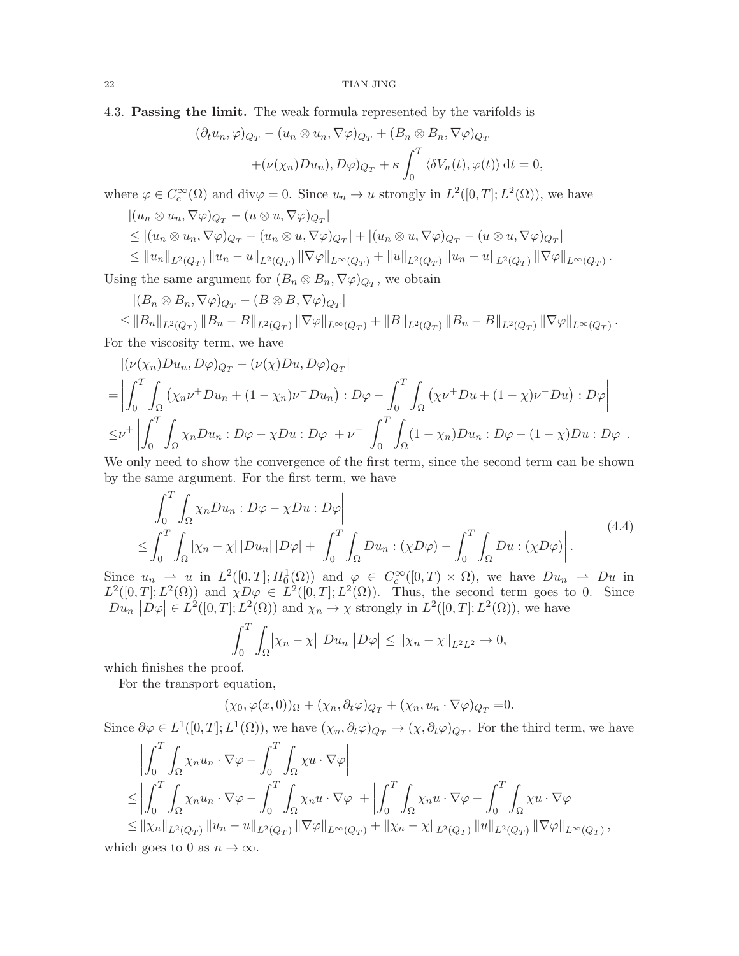### 4.3. Passing the limit. The weak formula represented by the varifolds is

$$
(\partial_t u_n, \varphi)_{Q_T} - (u_n \otimes u_n, \nabla \varphi)_{Q_T} + (B_n \otimes B_n, \nabla \varphi)_{Q_T}
$$

$$
+ (\nu(\chi_n) D u_n), D \varphi)_{Q_T} + \kappa \int_0^T \langle \delta V_n(t), \varphi(t) \rangle dt = 0,
$$

where  $\varphi \in C_c^{\infty}(\Omega)$  and  $\text{div}\varphi = 0$ . Since  $u_n \to u$  strongly in  $L^2([0,T]; L^2(\Omega))$ , we have

$$
|(u_n \otimes u_n, \nabla \varphi)_{Q_T} - (u \otimes u, \nabla \varphi)_{Q_T}|
$$
  
\n
$$
\leq |(u_n \otimes u_n, \nabla \varphi)_{Q_T} - (u_n \otimes u, \nabla \varphi)_{Q_T}| + |(u_n \otimes u, \nabla \varphi)_{Q_T} - (u \otimes u, \nabla \varphi)_{Q_T}|
$$
  
\n
$$
\leq ||u_n||_{L^2(Q_T)} ||u_n - u||_{L^2(Q_T)} ||\nabla \varphi||_{L^{\infty}(Q_T)} + ||u||_{L^2(Q_T)} ||u_n - u||_{L^2(Q_T)} ||\nabla \varphi||_{L^{\infty}(Q_T)}
$$

.

Using the same argument for  $(B_n \otimes B_n, \nabla \varphi)_{Q_T}$ , we obtain

$$
|(B_n \otimes B_n, \nabla \varphi)_{Q_T} - (B \otimes B, \nabla \varphi)_{Q_T}|
$$
  
\n
$$
\leq ||B_n||_{L^2(Q_T)} ||B_n - B||_{L^2(Q_T)} ||\nabla \varphi||_{L^{\infty}(Q_T)} + ||B||_{L^2(Q_T)} ||B_n - B||_{L^2(Q_T)} ||\nabla \varphi||_{L^{\infty}(Q_T)}.
$$

For the viscosity term, we have

$$
\begin{split}\n&\left|(\nu(\chi_n)Du_n, D\varphi)_{Q_T} - (\nu(\chi)Du, D\varphi)_{Q_T}\right| \\
&= \left| \int_0^T \int_{\Omega} \left( \chi_n \nu^+Du_n + (1 - \chi_n) \nu^-Du_n \right) : D\varphi - \int_0^T \int_{\Omega} \left( \chi \nu^+Du + (1 - \chi) \nu^-Du \right) : D\varphi \right| \\
&\leq \nu^+ \left| \int_0^T \int_{\Omega} \chi_n Du_n : D\varphi - \chi Du : D\varphi \right| + \nu^- \left| \int_0^T \int_{\Omega} (1 - \chi_n)Du_n : D\varphi - (1 - \chi)Du : D\varphi \right|.\n\end{split}
$$

We only need to show the convergence of the first term, since the second term can be shown by the same argument. For the first term, we have

<span id="page-21-0"></span>
$$
\left| \int_0^T \int_{\Omega} \chi_n D u_n : D\varphi - \chi D u : D\varphi \right|
$$
  
\n
$$
\leq \int_0^T \int_{\Omega} |\chi_n - \chi| |D u_n| |D\varphi| + \left| \int_0^T \int_{\Omega} D u_n : (\chi D\varphi) - \int_0^T \int_{\Omega} D u : (\chi D\varphi) \right|. \tag{4.4}
$$

Since  $u_n \to u$  in  $L^2([0,T]; H_0^1(\Omega))$  and  $\varphi \in C_c^{\infty}([0,T) \times \Omega)$ , we have  $Du_n \to Du$  in  $L^2([0,T];L^2(\Omega))$  and  $\chi D\varphi \in L^2([0,T];L^2(\Omega))$ . Thus, the second term goes to 0. Since  $|Du_n||D\varphi| \in L^2([0,T];L^2(\Omega))$  and  $\chi_n \to \chi$  strongly in  $L^2([0,T];L^2(\Omega))$ , we have

$$
\int_0^T \int_{\Omega} \left| \chi_n - \chi \right| \left| Du_n \right| \left| D\varphi \right| \leq \left\| \chi_n - \chi \right\|_{L^2 L^2} \to 0,
$$

which finishes the proof.

For the transport equation,

$$
(\chi_0, \varphi(x,0))_{\Omega} + (\chi_n, \partial_t \varphi)_{Q_T} + (\chi_n, u_n \cdot \nabla \varphi)_{Q_T} = 0.
$$

Since  $\partial \varphi \in L^1([0,T]; L^1(\Omega))$ , we have  $(\chi_n, \partial_t \varphi)_{Q_T} \to (\chi, \partial_t \varphi)_{Q_T}$ . For the third term, we have

$$
\left| \int_0^T \int_{\Omega} \chi_n u_n \cdot \nabla \varphi - \int_0^T \int_{\Omega} \chi u \cdot \nabla \varphi \right|
$$
  
\n
$$
\leq \left| \int_0^T \int_{\Omega} \chi_n u_n \cdot \nabla \varphi - \int_0^T \int_{\Omega} \chi_n u \cdot \nabla \varphi \right| + \left| \int_0^T \int_{\Omega} \chi_n u \cdot \nabla \varphi - \int_0^T \int_{\Omega} \chi u \cdot \nabla \varphi \right|
$$
  
\n
$$
\leq ||\chi_n||_{L^2(Q_T)} ||u_n - u||_{L^2(Q_T)} ||\nabla \varphi||_{L^{\infty}(Q_T)} + ||\chi_n - \chi||_{L^2(Q_T)} ||u||_{L^2(Q_T)} ||\nabla \varphi||_{L^{\infty}(Q_T)},
$$

which goes to 0 as  $n \to \infty$ .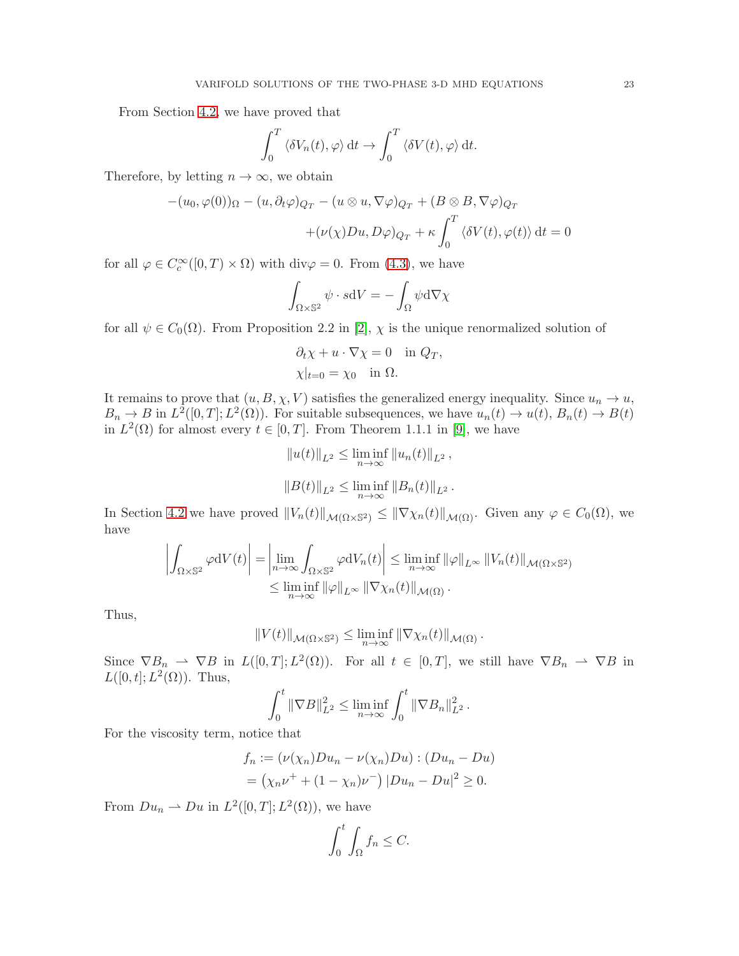From Section [4.2,](#page-19-0) we have proved that

$$
\int_0^T \langle \delta V_n(t), \varphi \rangle \, \mathrm{d}t \to \int_0^T \langle \delta V(t), \varphi \rangle \, \mathrm{d}t.
$$

Therefore, by letting  $n \to \infty$ , we obtain

$$
-(u_0, \varphi(0))_{\Omega} - (u, \partial_t \varphi)_{Q_T} - (u \otimes u, \nabla \varphi)_{Q_T} + (B \otimes B, \nabla \varphi)_{Q_T}
$$

$$
+ (\nu(\chi)Du, D\varphi)_{Q_T} + \kappa \int_0^T \langle \delta V(t), \varphi(t) \rangle dt = 0
$$

for all  $\varphi \in C_c^{\infty}([0, T) \times \Omega)$  with div $\varphi = 0$ . From [\(4.3\)](#page-20-0), we have

$$
\int_{\Omega \times \mathbb{S}^2} \psi \cdot s \mathrm{d}V = -\int_{\Omega} \psi \mathrm{d} \nabla \chi
$$

for all  $\psi \in C_0(\Omega)$ . From Proposition 2.2 in [\[2\]](#page-24-1),  $\chi$  is the unique renormalized solution of

$$
\partial_t \chi + u \cdot \nabla \chi = 0 \quad \text{in } Q_T,
$$
  

$$
\chi|_{t=0} = \chi_0 \quad \text{in } \Omega.
$$

It remains to prove that  $(u, B, \chi, V)$  satisfies the generalized energy inequality. Since  $u_n \to u$ ,  $B_n \to B$  in  $L^2([0,T]; L^2(\Omega))$ . For suitable subsequences, we have  $u_n(t) \to u(t), B_n(t) \to B(t)$ in  $L^2(\Omega)$  for almost every  $t \in [0, T]$ . From Theorem 1.1.1 in [\[9\]](#page-24-11), we have

$$
||u(t)||_{L^2} \le \liminf_{n \to \infty} ||u_n(t)||_{L^2},
$$
  

$$
||B(t)||_{L^2} \le \liminf_{n \to \infty} ||B_n(t)||_{L^2}.
$$

In Section [4.2](#page-19-0) we have proved  $||V_n(t)||_{\mathcal{M}(\Omega \times \mathbb{S}^2)} \le ||\nabla \chi_n(t)||_{\mathcal{M}(\Omega)}$ . Given any  $\varphi \in C_0(\Omega)$ , we have

$$
\left| \int_{\Omega \times \mathbb{S}^2} \varphi dV(t) \right| = \left| \lim_{n \to \infty} \int_{\Omega \times \mathbb{S}^2} \varphi dV_n(t) \right| \leq \liminf_{n \to \infty} ||\varphi||_{L^{\infty}} ||V_n(t)||_{\mathcal{M}(\Omega \times \mathbb{S}^2)}
$$
  

$$
\leq \liminf_{n \to \infty} ||\varphi||_{L^{\infty}} ||\nabla \chi_n(t)||_{\mathcal{M}(\Omega)}.
$$

Thus,

$$
||V(t)||_{\mathcal{M}(\Omega\times\mathbb{S}^2)} \leq \liminf_{n\to\infty} ||\nabla \chi_n(t)||_{\mathcal{M}(\Omega)}.
$$

Since  $\nabla B_n \rightharpoonup \nabla B$  in  $L([0,T]; L^2(\Omega))$ . For all  $t \in [0,T]$ , we still have  $\nabla B_n \rightharpoonup \nabla B$  in  $L([0, t]; L^2(\Omega))$ . Thus,

$$
\int_0^t \|\nabla B\|_{L^2}^2 \le \liminf_{n \to \infty} \int_0^t \|\nabla B_n\|_{L^2}^2.
$$

For the viscosity term, notice that

$$
f_n := (\nu(\chi_n)Du_n - \nu(\chi_n)Du) : (Du_n - Du)
$$
  
=  $(\chi_n\nu^+ + (1 - \chi_n)\nu^-) |Du_n - Du|^2 \ge 0.$ 

From  $Du_n \rightharpoonup Du$  in  $L^2([0,T]; L^2(\Omega))$ , we have

$$
\int_0^t \int_{\Omega} f_n \leq C.
$$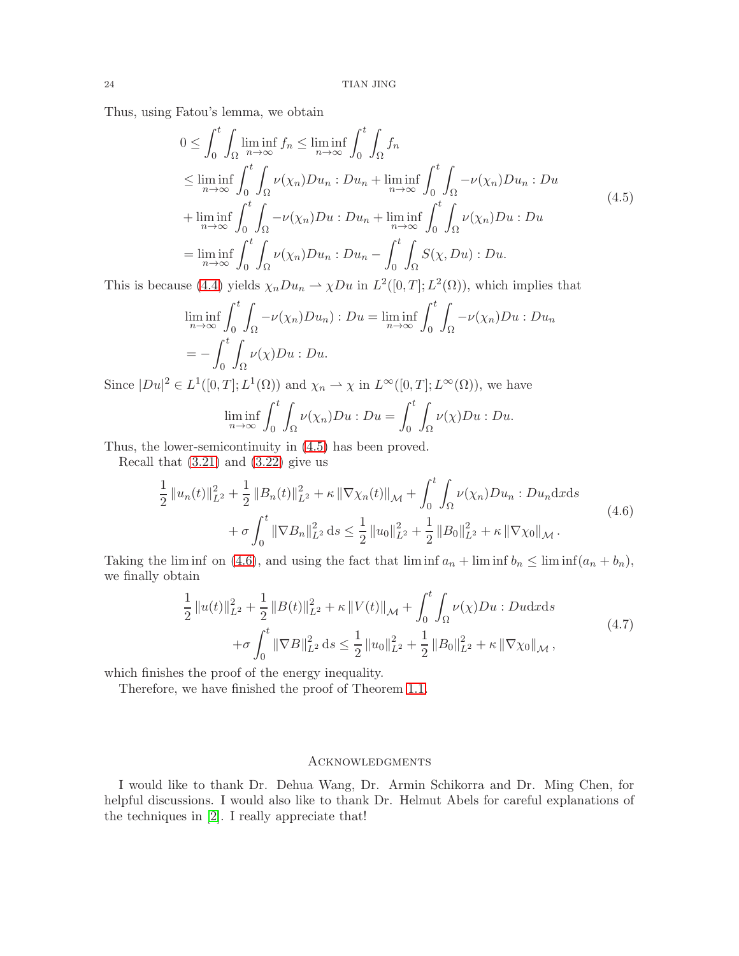Thus, using Fatou's lemma, we obtain

<span id="page-23-0"></span>
$$
0 \leq \int_0^t \int_{\Omega} \liminf_{n \to \infty} f_n \leq \liminf_{n \to \infty} \int_0^t \int_{\Omega} f_n
$$
  
\n
$$
\leq \liminf_{n \to \infty} \int_0^t \int_{\Omega} \nu(\chi_n) Du_n : Du_n + \liminf_{n \to \infty} \int_0^t \int_{\Omega} -\nu(\chi_n) Du_n : Du
$$
  
\n
$$
+ \liminf_{n \to \infty} \int_0^t \int_{\Omega} -\nu(\chi_n) Du : Du_n + \liminf_{n \to \infty} \int_0^t \int_{\Omega} \nu(\chi_n) Du : Du
$$
  
\n
$$
= \liminf_{n \to \infty} \int_0^t \int_{\Omega} \nu(\chi_n) Du_n : Du_n - \int_0^t \int_{\Omega} S(\chi, Du) : Du.
$$
 (4.5)

This is because [\(4.4\)](#page-21-0) yields  $\chi_n D u_n \to \chi D u$  in  $L^2([0,T]; L^2(\Omega))$ , which implies that

$$
\liminf_{n \to \infty} \int_0^t \int_{\Omega} -\nu(\chi_n) D u_n : Du = \liminf_{n \to \infty} \int_0^t \int_{\Omega} -\nu(\chi_n) D u : Du_n
$$
  
= 
$$
- \int_0^t \int_{\Omega} \nu(\chi) D u : Du.
$$

Since  $|Du|^2 \in L^1([0,T];L^1(\Omega))$  and  $\chi_n \to \chi$  in  $L^{\infty}([0,T];L^{\infty}(\Omega))$ , we have

$$
\liminf_{n \to \infty} \int_0^t \int_{\Omega} \nu(\chi_n) Du : Du = \int_0^t \int_{\Omega} \nu(\chi) Du : Du.
$$

Thus, the lower-semicontinuity in [\(4.5\)](#page-23-0) has been proved.

Recall that  $(3.21)$  and  $(3.22)$  give us

<span id="page-23-1"></span>
$$
\frac{1}{2} ||u_n(t)||_{L^2}^2 + \frac{1}{2} ||B_n(t)||_{L^2}^2 + \kappa ||\nabla \chi_n(t)||_{\mathcal{M}} + \int_0^t \int_{\Omega} \nu(\chi_n) Du_n : Du_n \, dx \, ds \n+ \sigma \int_0^t ||\nabla B_n||_{L^2}^2 \, ds \le \frac{1}{2} ||u_0||_{L^2}^2 + \frac{1}{2} ||B_0||_{L^2}^2 + \kappa ||\nabla \chi_0||_{\mathcal{M}}.
$$
\n(4.6)

Taking the lim inf on [\(4.6\)](#page-23-1), and using the fact that lim inf  $a_n + \liminf b_n \leq \liminf (a_n + b_n)$ , we finally obtain

$$
\frac{1}{2} ||u(t)||_{L^{2}}^{2} + \frac{1}{2} ||B(t)||_{L^{2}}^{2} + \kappa ||V(t)||_{\mathcal{M}} + \int_{0}^{t} \int_{\Omega} \nu(\chi)Du : Dudxds
$$
\n
$$
+ \sigma \int_{0}^{t} ||\nabla B||_{L^{2}}^{2} ds \leq \frac{1}{2} ||u_{0}||_{L^{2}}^{2} + \frac{1}{2} ||B_{0}||_{L^{2}}^{2} + \kappa ||\nabla \chi_{0}||_{\mathcal{M}},
$$
\n(4.7)

which finishes the proof of the energy inequality.

Therefore, we have finished the proof of Theorem [1.1.](#page-2-0)

### **ACKNOWLEDGMENTS**

I would like to thank Dr. Dehua Wang, Dr. Armin Schikorra and Dr. Ming Chen, for helpful discussions. I would also like to thank Dr. Helmut Abels for careful explanations of the techniques in [\[2\]](#page-24-1). I really appreciate that!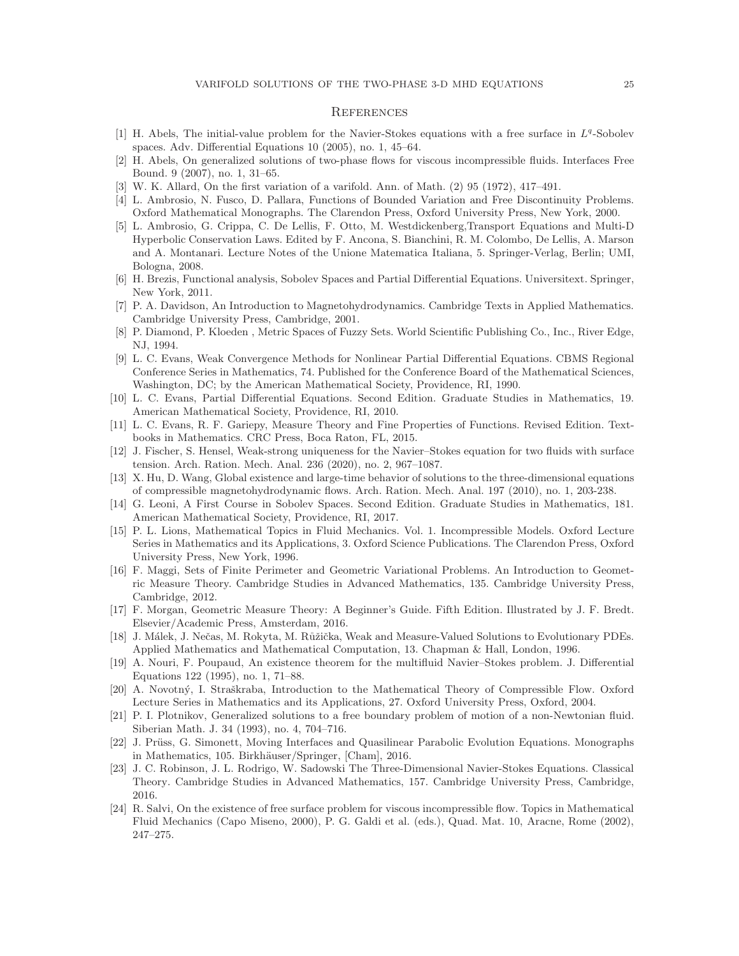#### **REFERENCES**

- [1] H. Abels, The initial-value problem for the Navier-Stokes equations with a free surface in  $L^q$ -Sobolev spaces. Adv. Differential Equations 10 (2005), no. 1, 45–64.
- <span id="page-24-1"></span>[2] H. Abels, On generalized solutions of two-phase flows for viscous incompressible fluids. Interfaces Free Bound. 9 (2007), no. 1, 31–65.
- <span id="page-24-6"></span>[3] W. K. Allard, On the first variation of a varifold. Ann. of Math. (2) 95 (1972), 417–491.
- <span id="page-24-10"></span>[4] L. Ambrosio, N. Fusco, D. Pallara, Functions of Bounded Variation and Free Discontinuity Problems. Oxford Mathematical Monographs. The Clarendon Press, Oxford University Press, New York, 2000.
- [5] L. Ambrosio, G. Crippa, C. De Lellis, F. Otto, M. Westdickenberg,Transport Equations and Multi-D Hyperbolic Conservation Laws. Edited by F. Ancona, S. Bianchini, R. M. Colombo, De Lellis, A. Marson and A. Montanari. Lecture Notes of the Unione Matematica Italiana, 5. Springer-Verlag, Berlin; UMI, Bologna, 2008.
- [6] H. Brezis, Functional analysis, Sobolev Spaces and Partial Differential Equations. Universitext. Springer, New York, 2011.
- [7] P. A. Davidson, An Introduction to Magnetohydrodynamics. Cambridge Texts in Applied Mathematics. Cambridge University Press, Cambridge, 2001.
- [8] P. Diamond, P. Kloeden , Metric Spaces of Fuzzy Sets. World Scientific Publishing Co., Inc., River Edge, NJ, 1994.
- <span id="page-24-11"></span>[9] L. C. Evans, Weak Convergence Methods for Nonlinear Partial Differential Equations. CBMS Regional Conference Series in Mathematics, 74. Published for the Conference Board of the Mathematical Sciences, Washington, DC; by the American Mathematical Society, Providence, RI, 1990.
- [10] L. C. Evans, Partial Differential Equations. Second Edition. Graduate Studies in Mathematics, 19. American Mathematical Society, Providence, RI, 2010.
- [11] L. C. Evans, R. F. Gariepy, Measure Theory and Fine Properties of Functions. Revised Edition. Textbooks in Mathematics. CRC Press, Boca Raton, FL, 2015.
- <span id="page-24-2"></span>[12] J. Fischer, S. Hensel, Weak-strong uniqueness for the Navier–Stokes equation for two fluids with surface tension. Arch. Ration. Mech. Anal. 236 (2020), no. 2, 967–1087.
- <span id="page-24-3"></span>[13] X. Hu, D. Wang, Global existence and large-time behavior of solutions to the three-dimensional equations of compressible magnetohydrodynamic flows. Arch. Ration. Mech. Anal. 197 (2010), no. 1, 203-238.
- <span id="page-24-5"></span>[14] G. Leoni, A First Course in Sobolev Spaces. Second Edition. Graduate Studies in Mathematics, 181. American Mathematical Society, Providence, RI, 2017.
- [15] P. L. Lions, Mathematical Topics in Fluid Mechanics. Vol. 1. Incompressible Models. Oxford Lecture Series in Mathematics and its Applications, 3. Oxford Science Publications. The Clarendon Press, Oxford University Press, New York, 1996.
- <span id="page-24-7"></span>[16] F. Maggi, Sets of Finite Perimeter and Geometric Variational Problems. An Introduction to Geometric Measure Theory. Cambridge Studies in Advanced Mathematics, 135. Cambridge University Press, Cambridge, 2012.
- <span id="page-24-8"></span>[17] F. Morgan, Geometric Measure Theory: A Beginner's Guide. Fifth Edition. Illustrated by J. F. Bredt. Elsevier/Academic Press, Amsterdam, 2016.
- [18] J. Málek, J. Nečas, M. Rokyta, M. Růžička, Weak and Measure-Valued Solutions to Evolutionary PDEs. Applied Mathematics and Mathematical Computation, 13. Chapman & Hall, London, 1996.
- [19] A. Nouri, F. Poupaud, An existence theorem for the multifluid Navier–Stokes problem. J. Differential Equations 122 (1995), no. 1, 71–88.
- <span id="page-24-4"></span>[20] A. Novotný, I. Straškraba, Introduction to the Mathematical Theory of Compressible Flow. Oxford Lecture Series in Mathematics and its Applications, 27. Oxford University Press, Oxford, 2004.
- <span id="page-24-0"></span>[21] P. I. Plotnikov, Generalized solutions to a free boundary problem of motion of a non-Newtonian fluid. Siberian Math. J. 34 (1993), no. 4, 704–716.
- [22] J. Prüss, G. Simonett, Moving Interfaces and Quasilinear Parabolic Evolution Equations. Monographs in Mathematics, 105. Birkhäuser/Springer, [Cham], 2016.
- <span id="page-24-9"></span>[23] J. C. Robinson, J. L. Rodrigo, W. Sadowski The Three-Dimensional Navier-Stokes Equations. Classical Theory. Cambridge Studies in Advanced Mathematics, 157. Cambridge University Press, Cambridge, 2016.
- [24] R. Salvi, On the existence of free surface problem for viscous incompressible flow. Topics in Mathematical Fluid Mechanics (Capo Miseno, 2000), P. G. Galdi et al. (eds.), Quad. Mat. 10, Aracne, Rome (2002), 247–275.